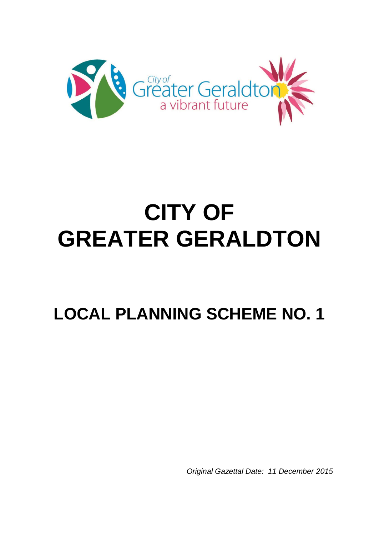

# **CITY OF GREATER GERALDTON**

**LOCAL PLANNING SCHEME NO. 1**

*Original Gazettal Date: 11 December 2015*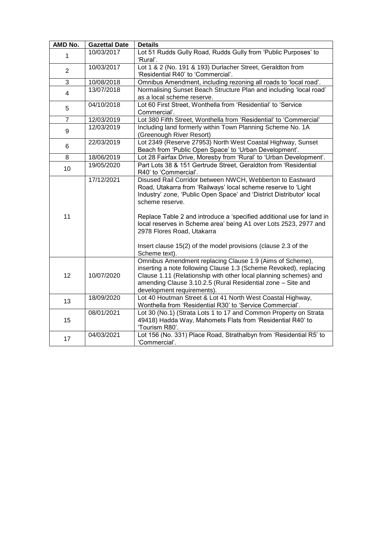| <b>AMD No.</b> | <b>Gazettal Date</b> | <b>Details</b>                                                                                                                                                                                                                                                                                                                                                                                                                                                                      |
|----------------|----------------------|-------------------------------------------------------------------------------------------------------------------------------------------------------------------------------------------------------------------------------------------------------------------------------------------------------------------------------------------------------------------------------------------------------------------------------------------------------------------------------------|
| $\mathbf{1}$   | 10/03/2017           | Lot 51 Rudds Gully Road, Rudds Gully from 'Public Purposes' to<br>'Rural'.                                                                                                                                                                                                                                                                                                                                                                                                          |
| $\overline{2}$ | 10/03/2017           | Lot 1 & 2 (No. 191 & 193) Durlacher Street, Geraldton from<br>'Residential R40' to 'Commercial'.                                                                                                                                                                                                                                                                                                                                                                                    |
| 3              | 10/08/2018           | Omnibus Amendment, including rezoning all roads to 'local road'.                                                                                                                                                                                                                                                                                                                                                                                                                    |
| $\overline{4}$ | 13/07/2018           | Normalising Sunset Beach Structure Plan and including 'local road'<br>as a local scheme reserve.                                                                                                                                                                                                                                                                                                                                                                                    |
| 5              | 04/10/2018           | Lot 60 First Street, Wonthella from 'Residential' to 'Service<br>Commercial'.                                                                                                                                                                                                                                                                                                                                                                                                       |
| $\overline{7}$ | 12/03/2019           | Lot 380 Fifth Street, Wonthella from 'Residential' to 'Commercial'                                                                                                                                                                                                                                                                                                                                                                                                                  |
| 9              | 12/03/2019           | Including land formerly within Town Planning Scheme No. 1A<br>(Greenough River Resort)                                                                                                                                                                                                                                                                                                                                                                                              |
| 6              | 22/03/2019           | Lot 2349 (Reserve 27953) North West Coastal Highway, Sunset<br>Beach from 'Public Open Space' to 'Urban Development'.                                                                                                                                                                                                                                                                                                                                                               |
| 8              | 18/06/2019           | Lot 28 Fairfax Drive, Moresby from 'Rural' to 'Urban Development'.                                                                                                                                                                                                                                                                                                                                                                                                                  |
| 10             | 19/05/2020           | Part Lots 38 & 151 Gertrude Street, Geraldton from 'Residential<br>R40' to 'Commercial'.                                                                                                                                                                                                                                                                                                                                                                                            |
| 11             | 17/12/2021           | Disused Rail Corridor between NWCH, Webberton to Eastward<br>Road, Utakarra from 'Railways' local scheme reserve to 'Light<br>Industry' zone, 'Public Open Space' and 'District Distributor' local<br>scheme reserve.<br>Replace Table 2 and introduce a 'specified additional use for land in<br>local reserves in Scheme area' being A1 over Lots 2523, 2977 and<br>2978 Flores Road, Utakarra<br>Insert clause 15(2) of the model provisions (clause 2.3 of the<br>Scheme text). |
| 12             | 10/07/2020           | Omnibus Amendment replacing Clause 1.9 (Aims of Scheme),<br>inserting a note following Clause 1.3 (Scheme Revoked), replacing<br>Clause 1.11 (Relationship with other local planning schemes) and<br>amending Clause 3.10.2.5 (Rural Residential zone - Site and<br>development requirements).                                                                                                                                                                                      |
| 13             | 18/09/2020           | Lot 40 Houtman Street & Lot 41 North West Coastal Highway,<br>Wonthella from 'Residential R30' to 'Service Commercial'.                                                                                                                                                                                                                                                                                                                                                             |
| 15             | 08/01/2021           | Lot 30 (No.1) (Strata Lots 1 to 17 and Common Property on Strata<br>49418) Hadda Way, Mahomets Flats from 'Residential R40' to<br>'Tourism R80'.                                                                                                                                                                                                                                                                                                                                    |
| 17             | 04/03/2021           | Lot 156 (No. 331) Place Road, Strathalbyn from 'Residential R5' to<br>'Commercial'.                                                                                                                                                                                                                                                                                                                                                                                                 |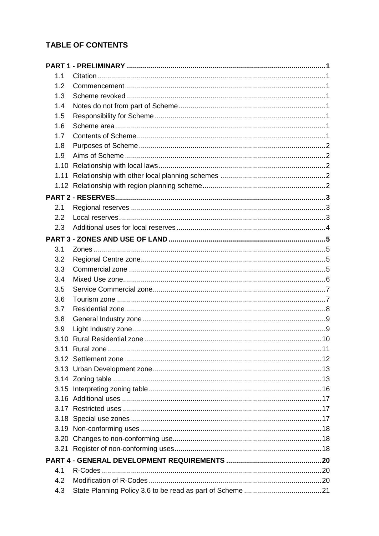# **TABLE OF CONTENTS**

|      | PART 1 - PRELIMINARY ……………………………………………………………………………………………1 |  |
|------|-----------------------------------------------------------|--|
| 1.1  |                                                           |  |
| 1.2  |                                                           |  |
| 1.3  |                                                           |  |
| 1.4  |                                                           |  |
| 1.5  |                                                           |  |
| 1.6  |                                                           |  |
| 1.7  |                                                           |  |
| 1.8  |                                                           |  |
| 1.9  |                                                           |  |
|      |                                                           |  |
| 1.11 |                                                           |  |
|      |                                                           |  |
|      |                                                           |  |
| 2.1  |                                                           |  |
| 2.2  |                                                           |  |
| 2.3  |                                                           |  |
|      |                                                           |  |
| 3.1  |                                                           |  |
| 3.2  |                                                           |  |
| 3.3  |                                                           |  |
| 3.4  |                                                           |  |
| 3.5  |                                                           |  |
| 3.6  |                                                           |  |
| 3.7  |                                                           |  |
| 3.8  |                                                           |  |
| 3.9  |                                                           |  |
|      |                                                           |  |
|      |                                                           |  |
|      |                                                           |  |
|      |                                                           |  |
|      |                                                           |  |
|      |                                                           |  |
|      |                                                           |  |
|      |                                                           |  |
|      |                                                           |  |
|      |                                                           |  |
|      |                                                           |  |
|      |                                                           |  |
|      |                                                           |  |
| 4.1  |                                                           |  |
| 4.2  |                                                           |  |
| 4.3  |                                                           |  |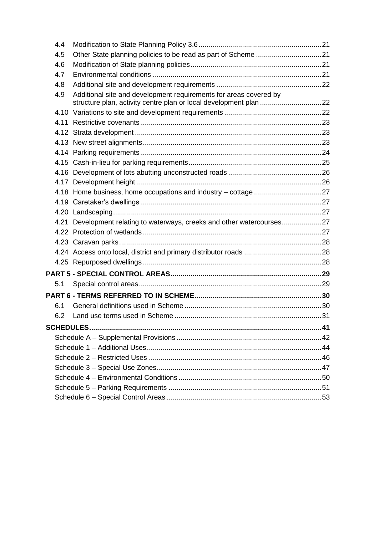| 4.4 |                                                                         |  |  |
|-----|-------------------------------------------------------------------------|--|--|
| 4.5 |                                                                         |  |  |
| 4.6 |                                                                         |  |  |
| 4.7 |                                                                         |  |  |
| 4.8 |                                                                         |  |  |
| 4.9 | Additional site and development requirements for areas covered by       |  |  |
|     |                                                                         |  |  |
|     |                                                                         |  |  |
|     |                                                                         |  |  |
|     |                                                                         |  |  |
|     |                                                                         |  |  |
|     |                                                                         |  |  |
|     |                                                                         |  |  |
|     |                                                                         |  |  |
|     |                                                                         |  |  |
|     |                                                                         |  |  |
|     |                                                                         |  |  |
|     | 4.21 Development relating to waterways, creeks and other watercourses27 |  |  |
|     |                                                                         |  |  |
|     |                                                                         |  |  |
|     |                                                                         |  |  |
|     |                                                                         |  |  |
|     |                                                                         |  |  |
| 5.1 |                                                                         |  |  |
|     |                                                                         |  |  |
| 6.1 |                                                                         |  |  |
| 6.2 |                                                                         |  |  |
|     |                                                                         |  |  |
|     |                                                                         |  |  |
|     |                                                                         |  |  |
|     |                                                                         |  |  |
|     |                                                                         |  |  |
|     |                                                                         |  |  |
|     |                                                                         |  |  |
|     |                                                                         |  |  |
|     |                                                                         |  |  |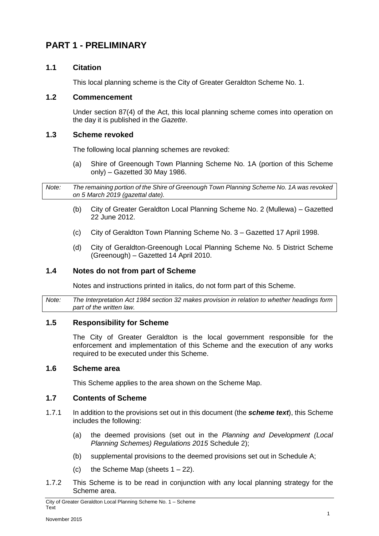# <span id="page-4-0"></span>**PART 1 - PRELIMINARY**

# <span id="page-4-1"></span>**1.1 Citation**

This local planning scheme is the City of Greater Geraldton Scheme No. 1.

## <span id="page-4-2"></span>**1.2 Commencement**

Under section 87(4) of the Act, this local planning scheme comes into operation on the day it is published in the *Gazette*.

#### <span id="page-4-3"></span>**1.3 Scheme revoked**

The following local planning schemes are revoked:

(a) Shire of Greenough Town Planning Scheme No. 1A (portion of this Scheme only) – Gazetted 30 May 1986.

*Note: The remaining portion of the Shire of Greenough Town Planning Scheme No. 1A was revoked on 5 March 2019 (gazettal date).*

- (b) City of Greater Geraldton Local Planning Scheme No. 2 (Mullewa) Gazetted 22 June 2012.
- (c) City of Geraldton Town Planning Scheme No. 3 Gazetted 17 April 1998.
- (d) City of Geraldton-Greenough Local Planning Scheme No. 5 District Scheme (Greenough) – Gazetted 14 April 2010.

## <span id="page-4-4"></span>**1.4 Notes do not from part of Scheme**

Notes and instructions printed in italics, do not form part of this Scheme.

*Note: The Interpretation Act 1984 section 32 makes provision in relation to whether headings form part of the written law.*

#### <span id="page-4-5"></span>**1.5 Responsibility for Scheme**

The City of Greater Geraldton is the local government responsible for the enforcement and implementation of this Scheme and the execution of any works required to be executed under this Scheme.

#### <span id="page-4-6"></span>**1.6 Scheme area**

This Scheme applies to the area shown on the Scheme Map.

# <span id="page-4-7"></span>**1.7 Contents of Scheme**

- 1.7.1 In addition to the provisions set out in this document (the *scheme text*), this Scheme includes the following:
	- (a) the deemed provisions (set out in the *Planning and Development (Local Planning Schemes) Regulations 2015* Schedule 2);
	- (b) supplemental provisions to the deemed provisions set out in Schedule A;
	- (c) the Scheme Map (sheets  $1 22$ ).
- 1.7.2 This Scheme is to be read in conjunction with any local planning strategy for the Scheme area.

City of Greater Geraldton Local Planning Scheme No. 1 – Scheme Text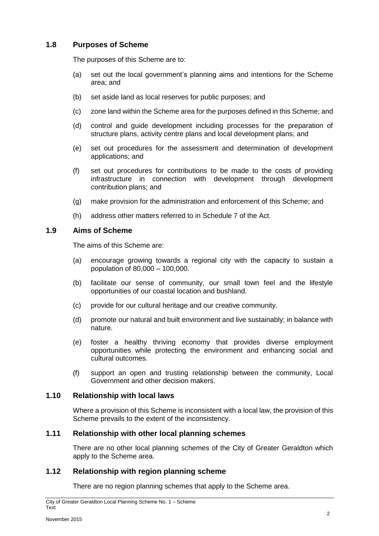# <span id="page-5-0"></span>**1.8 Purposes of Scheme**

The purposes of this Scheme are to:

- (a) set out the local government's planning aims and intentions for the Scheme area; and
- (b) set aside land as local reserves for public purposes; and
- (c) zone land within the Scheme area for the purposes defined in this Scheme; and
- (d) control and guide development including processes for the preparation of structure plans, activity centre plans and local development plans; and
- (e) set out procedures for the assessment and determination of development applications; and
- (f) set out procedures for contributions to be made to the costs of providing infrastructure in connection with development through development contribution plans; and
- (g) make provision for the administration and enforcement of this Scheme; and
- (h) address other matters referred to in Schedule 7 of the Act.

#### <span id="page-5-1"></span>**1.9 Aims of Scheme**

The aims of this Scheme are:

- (a) encourage growing towards a regional city with the capacity to sustain a population of 80,000 – 100,000.
- (b) facilitate our sense of community, our small town feel and the lifestyle opportunities of our coastal location and bushland.
- (c) provide for our cultural heritage and our creative community.
- (d) promote our natural and built environment and live sustainably; in balance with nature.
- (e) foster a healthy thriving economy that provides diverse employment opportunities while protecting the environment and enhancing social and cultural outcomes.
- (f) support an open and trusting relationship between the community, Local Government and other decision makers.

#### <span id="page-5-2"></span>**1.10 Relationship with local laws**

Where a provision of this Scheme is inconsistent with a local law, the provision of this Scheme prevails to the extent of the inconsistency.

#### <span id="page-5-3"></span>**1.11 Relationship with other local planning schemes**

There are no other local planning schemes of the City of Greater Geraldton which apply to the Scheme area.

## <span id="page-5-4"></span>**1.12 Relationship with region planning scheme**

There are no region planning schemes that apply to the Scheme area.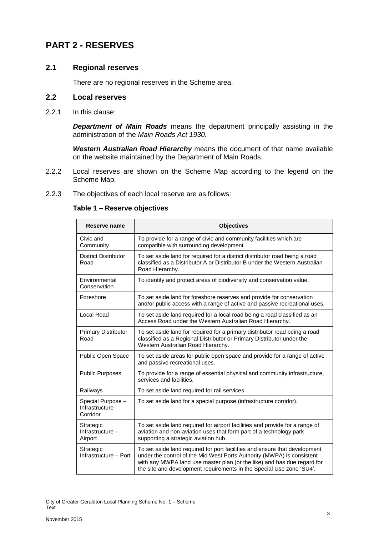# <span id="page-6-0"></span>**PART 2 - RESERVES**

# <span id="page-6-1"></span>**2.1 Regional reserves**

There are no regional reserves in the Scheme area.

#### <span id="page-6-2"></span>**2.2 Local reserves**

2.2.1 In this clause:

*Department of Main Roads* means the department principally assisting in the administration of the *Main Roads Act 1930*.

*Western Australian Road Hierarchy* means the document of that name available on the website maintained by the Department of Main Roads.

- 2.2.2 Local reserves are shown on the Scheme Map according to the legend on the Scheme Map.
- 2.2.3 The objectives of each local reserve are as follows:

#### **Table 1 – Reserve objectives**

| Reserve name                                    | <b>Objectives</b>                                                                                                                                                                                                                                                                                       |
|-------------------------------------------------|---------------------------------------------------------------------------------------------------------------------------------------------------------------------------------------------------------------------------------------------------------------------------------------------------------|
| Civic and<br>Community                          | To provide for a range of civic and community facilities which are<br>compatible with surrounding development.                                                                                                                                                                                          |
| <b>District Distributor</b><br>Road             | To set aside land for required for a district distributor road being a road<br>classified as a Distributor A or Distributor B under the Western Australian<br>Road Hierarchy.                                                                                                                           |
| Environmental<br>Conservation                   | To identify and protect areas of biodiversity and conservation value.                                                                                                                                                                                                                                   |
| Foreshore                                       | To set aside land for foreshore reserves and provide for conservation<br>and/or public access with a range of active and passive recreational uses.                                                                                                                                                     |
| Local Road                                      | To set aside land required for a local road being a road classified as an<br>Access Road under the Western Australian Road Hierarchy.                                                                                                                                                                   |
| <b>Primary Distributor</b><br>Road              | To set aside land for required for a primary distributor road being a road<br>classified as a Regional Distributor or Primary Distributor under the<br>Western Australian Road Hierarchy.                                                                                                               |
| Public Open Space                               | To set aside areas for public open space and provide for a range of active<br>and passive recreational uses.                                                                                                                                                                                            |
| <b>Public Purposes</b>                          | To provide for a range of essential physical and community infrastructure,<br>services and facilities.                                                                                                                                                                                                  |
| Railways                                        | To set aside land required for rail services.                                                                                                                                                                                                                                                           |
| Special Purpose -<br>Infrastructure<br>Corridor | To set aside land for a special purpose (infrastructure corridor).                                                                                                                                                                                                                                      |
| Strategic<br>Infrastructure -<br>Airport        | To set aside land required for airport facilities and provide for a range of<br>aviation and non-aviation uses that form part of a technology park<br>supporting a strategic aviation hub.                                                                                                              |
| Strategic<br>Infrastructure - Port              | To set aside land required for port facilities and ensure that development<br>under the control of the Mid West Ports Authority (MWPA) is consistent<br>with any MWPA land use master plan (or the like) and has due regard for<br>the site and development requirements in the Special Use zone 'SU4'. |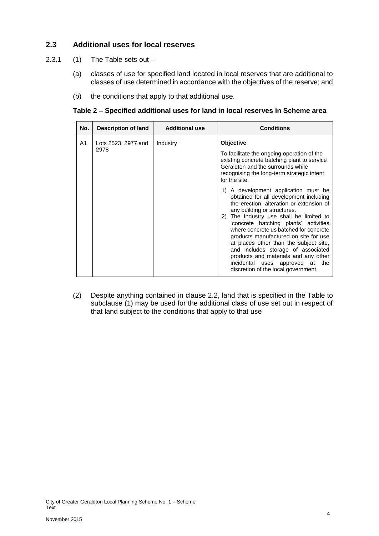# <span id="page-7-0"></span>**2.3 Additional uses for local reserves**

- 2.3.1 (1) The Table sets out
	- (a) classes of use for specified land located in local reserves that are additional to classes of use determined in accordance with the objectives of the reserve; and
	- (b) the conditions that apply to that additional use.

#### **Table 2 – Specified additional uses for land in local reserves in Scheme area**

| No.            | Description of land | <b>Additional use</b> | <b>Conditions</b>                                                                                                                                                                                                                                                                                                                                                                                                                                                                                                                  |
|----------------|---------------------|-----------------------|------------------------------------------------------------------------------------------------------------------------------------------------------------------------------------------------------------------------------------------------------------------------------------------------------------------------------------------------------------------------------------------------------------------------------------------------------------------------------------------------------------------------------------|
| A <sub>1</sub> | Lots 2523, 2977 and | Industry              | <b>Objective</b>                                                                                                                                                                                                                                                                                                                                                                                                                                                                                                                   |
| 2978           |                     |                       | To facilitate the ongoing operation of the<br>existing concrete batching plant to service<br>Geraldton and the surrounds while<br>recognising the long-term strategic intent<br>for the site.                                                                                                                                                                                                                                                                                                                                      |
|                |                     |                       | 1) A development application must be<br>obtained for all development including<br>the erection, alteration or extension of<br>any building or structures.<br>2) The Industry use shall be limited to<br>'concrete batching plants' activities<br>where concrete us batched for concrete<br>products manufactured on site for use<br>at places other than the subject site,<br>and includes storage of associated<br>products and materials and any other<br>incidental uses approved at the<br>discretion of the local government. |

(2) Despite anything contained in clause 2.2, land that is specified in the Table to subclause (1) may be used for the additional class of use set out in respect of that land subject to the conditions that apply to that use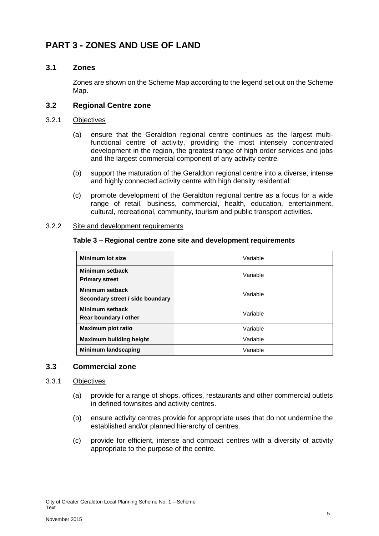# <span id="page-8-0"></span>**PART 3 - ZONES AND USE OF LAND**

# <span id="page-8-1"></span>**3.1 Zones**

Zones are shown on the Scheme Map according to the legend set out on the Scheme Map.

# <span id="page-8-2"></span>**3.2 Regional Centre zone**

#### 3.2.1 Objectives

- (a) ensure that the Geraldton regional centre continues as the largest multifunctional centre of activity, providing the most intensely concentrated development in the region, the greatest range of high order services and jobs and the largest commercial component of any activity centre.
- (b) support the maturation of the Geraldton regional centre into a diverse, intense and highly connected activity centre with high density residential.
- (c) promote development of the Geraldton regional centre as a focus for a wide range of retail, business, commercial, health, education, entertainment, cultural, recreational, community, tourism and public transport activities.

#### 3.2.2 Site and development requirements

#### **Table 3 – Regional centre zone site and development requirements**

| Minimum lot size                                    | Variable |
|-----------------------------------------------------|----------|
| Minimum setback<br><b>Primary street</b>            | Variable |
| Minimum setback<br>Secondary street / side boundary | Variable |
| <b>Minimum setback</b><br>Rear boundary / other     | Variable |
| <b>Maximum plot ratio</b>                           | Variable |
| <b>Maximum building height</b>                      | Variable |
| Minimum landscaping                                 | Variable |

#### <span id="page-8-3"></span>**3.3 Commercial zone**

#### 3.3.1 Objectives

- (a) provide for a range of shops, offices, restaurants and other commercial outlets in defined townsites and activity centres.
- (b) ensure activity centres provide for appropriate uses that do not undermine the established and/or planned hierarchy of centres.
- (c) provide for efficient, intense and compact centres with a diversity of activity appropriate to the purpose of the centre.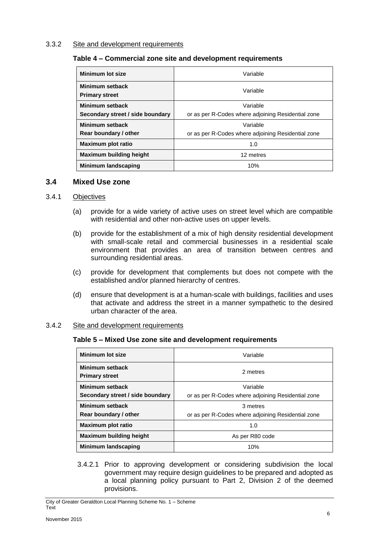#### 3.3.2 Site and development requirements

#### **Table 4 – Commercial zone site and development requirements**

| Minimum lot size                         | Variable                                           |
|------------------------------------------|----------------------------------------------------|
| Minimum setback<br><b>Primary street</b> | Variable                                           |
| Minimum setback                          | Variable                                           |
| Secondary street / side boundary         | or as per R-Codes where adjoining Residential zone |
| Minimum setback                          | Variable                                           |
| Rear boundary / other                    | or as per R-Codes where adjoining Residential zone |
| Maximum plot ratio                       | 1.0                                                |
| Maximum building height                  | 12 metres                                          |
| Minimum landscaping                      | 10%                                                |

#### <span id="page-9-0"></span>**3.4 Mixed Use zone**

#### 3.4.1 Objectives

- (a) provide for a wide variety of active uses on street level which are compatible with residential and other non-active uses on upper levels.
- (b) provide for the establishment of a mix of high density residential development with small-scale retail and commercial businesses in a residential scale environment that provides an area of transition between centres and surrounding residential areas.
- (c) provide for development that complements but does not compete with the established and/or planned hierarchy of centres.
- (d) ensure that development is at a human-scale with buildings, facilities and uses that activate and address the street in a manner sympathetic to the desired urban character of the area.

#### 3.4.2 Site and development requirements

#### **Table 5 – Mixed Use zone site and development requirements**

| Minimum lot size                         | Variable                                           |
|------------------------------------------|----------------------------------------------------|
| Minimum setback<br><b>Primary street</b> | 2 metres                                           |
| Minimum setback                          | Variable                                           |
| Secondary street / side boundary         | or as per R-Codes where adjoining Residential zone |
| Minimum setback                          | 3 metres                                           |
| Rear boundary / other                    | or as per R-Codes where adjoining Residential zone |
| Maximum plot ratio                       | 1.0                                                |
| Maximum building height                  | As per R80 code                                    |
| Minimum landscaping                      | 10%                                                |

3.4.2.1 Prior to approving development or considering subdivision the local government may require design guidelines to be prepared and adopted as a local planning policy pursuant to Part 2, Division 2 of the deemed provisions.

City of Greater Geraldton Local Planning Scheme No. 1 – Scheme Text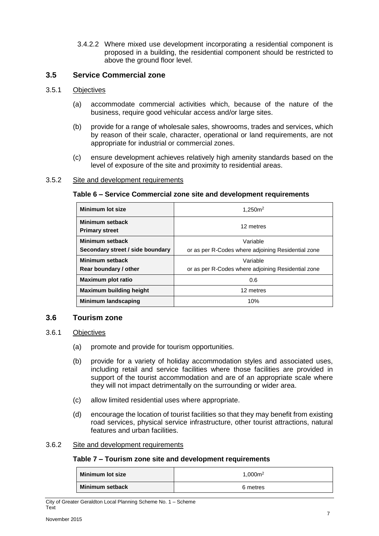3.4.2.2 Where mixed use development incorporating a residential component is proposed in a building, the residential component should be restricted to above the ground floor level.

# <span id="page-10-0"></span>**3.5 Service Commercial zone**

#### 3.5.1 Objectives

- (a) accommodate commercial activities which, because of the nature of the business, require good vehicular access and/or large sites.
- (b) provide for a range of wholesale sales, showrooms, trades and services, which by reason of their scale, character, operational or land requirements, are not appropriate for industrial or commercial zones.
- (c) ensure development achieves relatively high amenity standards based on the level of exposure of the site and proximity to residential areas.

#### 3.5.2 Site and development requirements

#### **Table 6 – Service Commercial zone site and development requirements**

| Minimum lot size                         | 1.250m <sup>2</sup>                                |
|------------------------------------------|----------------------------------------------------|
| Minimum setback<br><b>Primary street</b> | 12 metres                                          |
| Minimum setback                          | Variable                                           |
| Secondary street / side boundary         | or as per R-Codes where adjoining Residential zone |
| Minimum setback                          | Variable                                           |
| Rear boundary / other                    | or as per R-Codes where adjoining Residential zone |
| Maximum plot ratio                       | 0.6                                                |
| <b>Maximum building height</b>           | 12 metres                                          |
| Minimum landscaping                      | 10%                                                |

#### <span id="page-10-1"></span>**3.6 Tourism zone**

#### 3.6.1 Objectives

- (a) promote and provide for tourism opportunities.
- (b) provide for a variety of holiday accommodation styles and associated uses, including retail and service facilities where those facilities are provided in support of the tourist accommodation and are of an appropriate scale where they will not impact detrimentally on the surrounding or wider area.
- (c) allow limited residential uses where appropriate.
- (d) encourage the location of tourist facilities so that they may benefit from existing road services, physical service infrastructure, other tourist attractions, natural features and urban facilities.

#### 3.6.2 Site and development requirements

#### **Table 7 – Tourism zone site and development requirements**

| <b>Minimum lot size</b> | 1.000m <sup>2</sup> |
|-------------------------|---------------------|
| Minimum setback         | 6 metres            |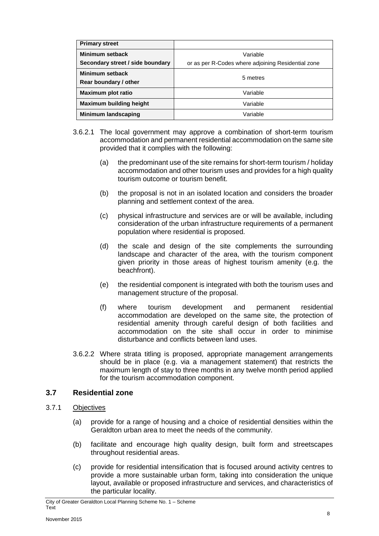| <b>Primary street</b>                    |                                                    |
|------------------------------------------|----------------------------------------------------|
| Minimum setback                          | Variable                                           |
| Secondary street / side boundary         | or as per R-Codes where adjoining Residential zone |
| Minimum setback<br>Rear boundary / other | 5 metres                                           |
| Maximum plot ratio                       | Variable                                           |
| <b>Maximum building height</b>           | Variable                                           |
| Minimum landscaping                      | Variable                                           |

- 3.6.2.1 The local government may approve a combination of short-term tourism accommodation and permanent residential accommodation on the same site provided that it complies with the following:
	- (a) the predominant use of the site remains for short-term tourism / holiday accommodation and other tourism uses and provides for a high quality tourism outcome or tourism benefit.
	- (b) the proposal is not in an isolated location and considers the broader planning and settlement context of the area.
	- (c) physical infrastructure and services are or will be available, including consideration of the urban infrastructure requirements of a permanent population where residential is proposed.
	- (d) the scale and design of the site complements the surrounding landscape and character of the area, with the tourism component given priority in those areas of highest tourism amenity (e.g. the beachfront).
	- (e) the residential component is integrated with both the tourism uses and management structure of the proposal.
	- (f) where tourism development and permanent residential accommodation are developed on the same site, the protection of residential amenity through careful design of both facilities and accommodation on the site shall occur in order to minimise disturbance and conflicts between land uses.
- 3.6.2.2 Where strata titling is proposed, appropriate management arrangements should be in place (e.g. via a management statement) that restricts the maximum length of stay to three months in any twelve month period applied for the tourism accommodation component.

# <span id="page-11-0"></span>**3.7 Residential zone**

#### 3.7.1 Objectives

- (a) provide for a range of housing and a choice of residential densities within the Geraldton urban area to meet the needs of the community.
- (b) facilitate and encourage high quality design, built form and streetscapes throughout residential areas.
- (c) provide for residential intensification that is focused around activity centres to provide a more sustainable urban form, taking into consideration the unique layout, available or proposed infrastructure and services, and characteristics of the particular locality.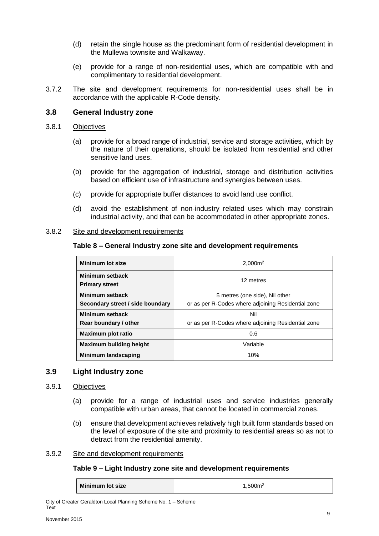- (d) retain the single house as the predominant form of residential development in the Mullewa townsite and Walkaway.
- (e) provide for a range of non-residential uses, which are compatible with and complimentary to residential development.
- 3.7.2 The site and development requirements for non-residential uses shall be in accordance with the applicable R-Code density.

#### <span id="page-12-0"></span>**3.8 General Industry zone**

#### 3.8.1 Objectives

- (a) provide for a broad range of industrial, service and storage activities, which by the nature of their operations, should be isolated from residential and other sensitive land uses.
- (b) provide for the aggregation of industrial, storage and distribution activities based on efficient use of infrastructure and synergies between uses.
- (c) provide for appropriate buffer distances to avoid land use conflict.
- (d) avoid the establishment of non-industry related uses which may constrain industrial activity, and that can be accommodated in other appropriate zones.

#### 3.8.2 Site and development requirements

#### **Table 8 – General Industry zone site and development requirements**

| Minimum lot size                         | 2.000m <sup>2</sup>                                |
|------------------------------------------|----------------------------------------------------|
| Minimum setback<br><b>Primary street</b> | 12 metres                                          |
| Minimum setback                          | 5 metres (one side), Nil other                     |
| Secondary street / side boundary         | or as per R-Codes where adjoining Residential zone |
| Minimum setback                          | Nil                                                |
| Rear boundary / other                    | or as per R-Codes where adjoining Residential zone |
| Maximum plot ratio                       | 0.6                                                |
| Maximum building height                  | Variable                                           |
| Minimum landscaping                      | 10%                                                |

#### <span id="page-12-1"></span>**3.9 Light Industry zone**

#### 3.9.1 Objectives

- (a) provide for a range of industrial uses and service industries generally compatible with urban areas, that cannot be located in commercial zones.
- (b) ensure that development achieves relatively high built form standards based on the level of exposure of the site and proximity to residential areas so as not to detract from the residential amenity.

#### 3.9.2 Site and development requirements

#### **Table 9 – Light Industry zone site and development requirements**

| Minimum lot size | .500 <sup>2</sup> |
|------------------|-------------------|
|                  |                   |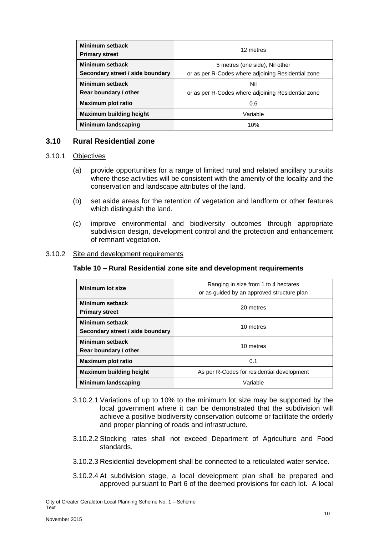| Minimum setback<br><b>Primary street</b> | 12 metres                                          |
|------------------------------------------|----------------------------------------------------|
| Minimum setback                          | 5 metres (one side), Nil other                     |
| Secondary street / side boundary         | or as per R-Codes where adjoining Residential zone |
| Minimum setback                          | Nil                                                |
| Rear boundary / other                    | or as per R-Codes where adjoining Residential zone |
| <b>Maximum plot ratio</b>                | 0.6                                                |
| <b>Maximum building height</b>           | Variable                                           |
| Minimum landscaping                      | 10%                                                |

# <span id="page-13-0"></span>**3.10 Rural Residential zone**

#### 3.10.1 Objectives

- (a) provide opportunities for a range of limited rural and related ancillary pursuits where those activities will be consistent with the amenity of the locality and the conservation and landscape attributes of the land.
- (b) set aside areas for the retention of vegetation and landform or other features which distinguish the land.
- (c) improve environmental and biodiversity outcomes through appropriate subdivision design, development control and the protection and enhancement of remnant vegetation.

#### 3.10.2 Site and development requirements

#### **Table 10 – Rural Residential zone site and development requirements**

| Minimum lot size                                    | Ranging in size from 1 to 4 hectares<br>or as guided by an approved structure plan |  |  |  |  |  |
|-----------------------------------------------------|------------------------------------------------------------------------------------|--|--|--|--|--|
| Minimum setback<br><b>Primary street</b>            | 20 metres                                                                          |  |  |  |  |  |
| Minimum setback<br>Secondary street / side boundary | 10 metres                                                                          |  |  |  |  |  |
| Minimum setback<br>Rear boundary / other            | 10 metres                                                                          |  |  |  |  |  |
| Maximum plot ratio                                  | 0.1                                                                                |  |  |  |  |  |
| <b>Maximum building height</b>                      | As per R-Codes for residential development                                         |  |  |  |  |  |
| Minimum landscaping                                 | Variable                                                                           |  |  |  |  |  |

- 3.10.2.1 Variations of up to 10% to the minimum lot size may be supported by the local government where it can be demonstrated that the subdivision will achieve a positive biodiversity conservation outcome or facilitate the orderly and proper planning of roads and infrastructure.
- 3.10.2.2 Stocking rates shall not exceed Department of Agriculture and Food standards.
- 3.10.2.3 Residential development shall be connected to a reticulated water service.
- 3.10.2.4 At subdivision stage, a local development plan shall be prepared and approved pursuant to Part 6 of the deemed provisions for each lot. A local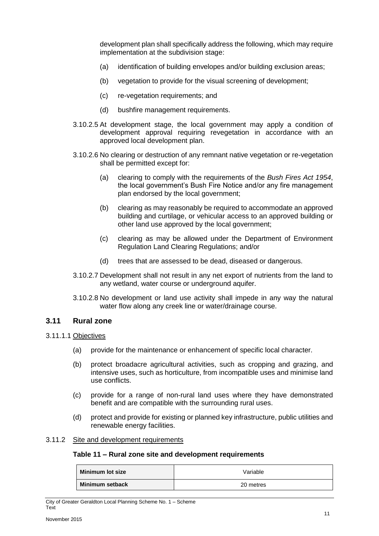development plan shall specifically address the following, which may require implementation at the subdivision stage:

- (a) identification of building envelopes and/or building exclusion areas;
- (b) vegetation to provide for the visual screening of development;
- (c) re-vegetation requirements; and
- (d) bushfire management requirements.
- 3.10.2.5 At development stage, the local government may apply a condition of development approval requiring revegetation in accordance with an approved local development plan.
- 3.10.2.6 No clearing or destruction of any remnant native vegetation or re-vegetation shall be permitted except for:
	- (a) clearing to comply with the requirements of the *Bush Fires Act 1954*, the local government's Bush Fire Notice and/or any fire management plan endorsed by the local government;
	- (b) clearing as may reasonably be required to accommodate an approved building and curtilage, or vehicular access to an approved building or other land use approved by the local government;
	- (c) clearing as may be allowed under the Department of Environment Regulation Land Clearing Regulations; and/or
	- (d) trees that are assessed to be dead, diseased or dangerous.
- 3.10.2.7 Development shall not result in any net export of nutrients from the land to any wetland, water course or underground aquifer.
- 3.10.2.8 No development or land use activity shall impede in any way the natural water flow along any creek line or water/drainage course.

#### <span id="page-14-0"></span>**3.11 Rural zone**

- 3.11.1.1 Objectives
	- (a) provide for the maintenance or enhancement of specific local character.
	- (b) protect broadacre agricultural activities, such as cropping and grazing, and intensive uses, such as horticulture, from incompatible uses and minimise land use conflicts.
	- (c) provide for a range of non-rural land uses where they have demonstrated benefit and are compatible with the surrounding rural uses.
	- (d) protect and provide for existing or planned key infrastructure, public utilities and renewable energy facilities.

#### 3.11.2 Site and development requirements

#### **Table 11 – Rural zone site and development requirements**

| Minimum lot size | Variable  |
|------------------|-----------|
| Minimum setback  | 20 metres |

City of Greater Geraldton Local Planning Scheme No. 1 – Scheme Text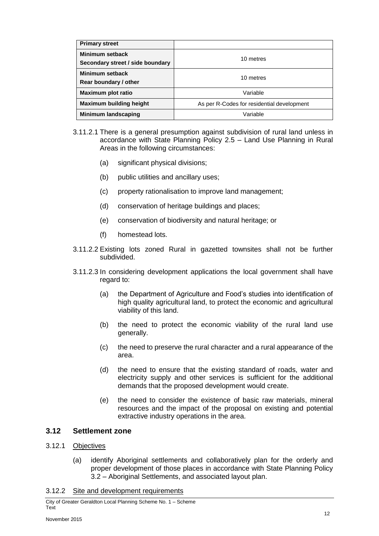| <b>Primary street</b>                               |                                            |
|-----------------------------------------------------|--------------------------------------------|
| Minimum setback<br>Secondary street / side boundary | 10 metres                                  |
| Minimum setback<br>Rear boundary / other            | 10 metres                                  |
| <b>Maximum plot ratio</b>                           | Variable                                   |
| <b>Maximum building height</b>                      | As per R-Codes for residential development |
| Minimum landscaping                                 | Variable                                   |

- 3.11.2.1 There is a general presumption against subdivision of rural land unless in accordance with State Planning Policy 2.5 – Land Use Planning in Rural Areas in the following circumstances:
	- (a) significant physical divisions;
	- (b) public utilities and ancillary uses;
	- (c) property rationalisation to improve land management;
	- (d) conservation of heritage buildings and places;
	- (e) conservation of biodiversity and natural heritage; or
	- (f) homestead lots.
- 3.11.2.2 Existing lots zoned Rural in gazetted townsites shall not be further subdivided.
- 3.11.2.3 In considering development applications the local government shall have regard to:
	- (a) the Department of Agriculture and Food's studies into identification of high quality agricultural land, to protect the economic and agricultural viability of this land.
	- (b) the need to protect the economic viability of the rural land use generally.
	- (c) the need to preserve the rural character and a rural appearance of the area.
	- (d) the need to ensure that the existing standard of roads, water and electricity supply and other services is sufficient for the additional demands that the proposed development would create.
	- (e) the need to consider the existence of basic raw materials, mineral resources and the impact of the proposal on existing and potential extractive industry operations in the area.

# <span id="page-15-0"></span>**3.12 Settlement zone**

#### 3.12.1 Objectives

(a) identify Aboriginal settlements and collaboratively plan for the orderly and proper development of those places in accordance with State Planning Policy 3.2 – Aboriginal Settlements, and associated layout plan.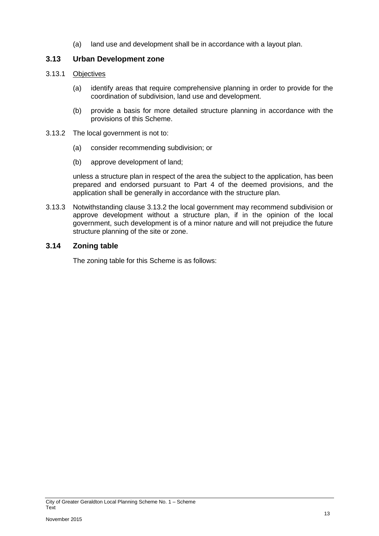(a) land use and development shall be in accordance with a layout plan.

# <span id="page-16-0"></span>**3.13 Urban Development zone**

#### 3.13.1 Objectives

- (a) identify areas that require comprehensive planning in order to provide for the coordination of subdivision, land use and development.
- (b) provide a basis for more detailed structure planning in accordance with the provisions of this Scheme.
- 3.13.2 The local government is not to:
	- (a) consider recommending subdivision; or
	- (b) approve development of land;

unless a structure plan in respect of the area the subject to the application, has been prepared and endorsed pursuant to Part 4 of the deemed provisions, and the application shall be generally in accordance with the structure plan.

3.13.3 Notwithstanding clause 3.13.2 the local government may recommend subdivision or approve development without a structure plan, if in the opinion of the local government, such development is of a minor nature and will not prejudice the future structure planning of the site or zone.

# <span id="page-16-1"></span>**3.14 Zoning table**

The zoning table for this Scheme is as follows: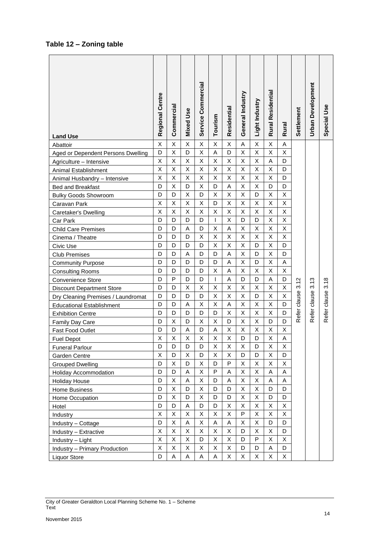# **Table 12 – Zoning table**

| <b>Land Use</b>                             | <b>Regional Centre</b> | Commercial | <b>Mixed Use</b> | Service Commercial | Tourism        | Residential                        | General Industry | Light Industry   | Rural Residential | <b>Rural</b> | Settlement              | <b>Urban Development</b> | Special Use  |
|---------------------------------------------|------------------------|------------|------------------|--------------------|----------------|------------------------------------|------------------|------------------|-------------------|--------------|-------------------------|--------------------------|--------------|
| Abattoir                                    | X                      | X          | $\mathsf{X}$     | X                  | X              | $\mathsf{X}$                       | A                | $\mathsf{X}$     | X                 | A            |                         |                          |              |
| Aged or Dependent Persons Dwelling          | D                      | Χ          | D                | X                  | A              | D                                  | Χ                | X                | X                 | X            |                         |                          |              |
| Agriculture - Intensive                     | Χ                      | X          | Χ                | Χ                  | Χ              | $\mathsf X$                        | Χ                | Χ                | A                 | D            |                         |                          |              |
| Animal Establishment                        | X                      | X          | X                | Χ                  | Χ              | $\mathsf X$                        | Χ                | Χ                | Χ                 | D            |                         |                          |              |
| Animal Husbandry - Intensive                | Χ                      | X          | Χ                | Χ                  | Χ              | $\pmb{\times}$                     | Χ                | Χ                | Χ                 | D            |                         |                          |              |
| Bed and Breakfast                           | D                      | X          | D                | X                  | D              | A                                  | X                | $\sf X$          | D                 | D            |                         |                          |              |
| <b>Bulky Goods Showroom</b>                 | D                      | D          | X                | D                  | X              | $\sf X$                            | X                | D                | X                 | $\sf X$      |                         |                          |              |
| Caravan Park                                | X                      | X          | X                | X                  | D              | $\mathsf X$                        | X                | X                | Χ                 | Χ            |                         |                          |              |
| Caretaker's Dwelling                        | X                      | Χ          | Χ                | Χ                  | X              | X                                  | X                | Χ                | Χ                 | X            |                         |                          |              |
| Car Park                                    | D                      | D          | D                | D                  | $\mathsf{I}$   | $\sf X$                            | D                | D                | X                 | Χ            |                         |                          |              |
| <b>Child Care Premises</b>                  | D                      | D          | A                | D                  | X              | $\overline{\mathsf{A}}$            | X                | Χ                | X                 | Χ            |                         |                          |              |
| Cinema / Theatre                            | D                      | D          | D                | Χ                  | Χ              | X                                  | Χ                | $\sf X$          | Χ                 | Χ            |                         |                          |              |
| Civic Use                                   | D                      | D          | D                | D                  | Χ              | $\mathsf X$                        | X                | D                | Χ                 | D            |                         |                          |              |
| <b>Club Premises</b>                        | D                      | D          | Α                | D                  | D              | Α                                  | X                | D                | Χ                 | D            |                         |                          |              |
| <b>Community Purpose</b>                    | D                      | D          | D                | D                  | D              | A                                  | X                | D                | X                 | A            |                         |                          |              |
| <b>Consulting Rooms</b>                     | D                      | D          | D                | D                  | X              | A                                  | X                | Χ                | X                 | Χ            |                         |                          |              |
| Convenience Store                           | D                      | P          | D                | D                  | $\mathsf{I}$   | $\overline{\mathsf{A}}$            | D                | D                | A                 | D            | $\mathbf{\Omega}$<br>31 | ო<br>$\overline{3.1}$    | 3.18         |
| <b>Discount Department Store</b>            | D                      | D          | X                | Χ                  | Χ              | X                                  | Χ                | $\sf X$          | Χ                 | $\sf X$      |                         |                          |              |
| Dry Cleaning Premises / Laundromat          | D                      | D          | D                | D                  | X              | X                                  | X                | D                | X                 | X            |                         |                          |              |
| <b>Educational Establishment</b>            | D                      | D          | A                | X                  | X              | $\overline{\mathsf{A}}$            | X                | X                | X                 | D            |                         |                          |              |
| <b>Exhibition Centre</b>                    | D                      | D          | D                | D                  | D              | X                                  | X                | X                | X                 | D            | Refer clause            | Refer clause             | Refer clause |
| Family Day Care                             | D                      | X          | D                | Χ                  | $\mathsf X$    | D                                  | X                | $\sf X$          | D                 | D            |                         |                          |              |
| Fast Food Outlet                            | D                      | D          | A                | D                  | A              | Χ                                  | X                | Χ                | X                 | X            |                         |                          |              |
| <b>Fuel Depot</b>                           | $\pmb{\mathsf{X}}$     | X          | X                | X                  | $\pmb{\times}$ | $\sf X$                            | D                | D                | X                 | $\mathsf A$  |                         |                          |              |
| <b>Funeral Parlour</b>                      | D                      | D          | D                | D                  | X              | X                                  | X                | D                | Χ                 | X            |                         |                          |              |
| Garden Centre                               | X                      | D          | X                | D                  | X              | $\mathsf X$                        | D                | D                | X                 | D            |                         |                          |              |
| <b>Grouped Dwelling</b>                     | D<br>D                 | Χ<br>D     | D                | Χ                  | D<br>P         | $\sf P$<br>$\overline{\mathsf{A}}$ | Χ<br>Χ           | Χ                | Χ                 | X            |                         |                          |              |
| Holiday Accommodation                       | D                      | Χ          | A<br>A           | Χ<br>X             | D              | $\sf A$                            | X                | Χ<br>$\mathsf X$ | А<br>A            | A<br>A       |                         |                          |              |
| <b>Holiday House</b>                        | D                      | X          | D                | $\sf X$            | D              | D                                  | X                | $\sf X$          | D                 | D            |                         |                          |              |
| Home Business                               | D                      | X          | D                | Χ                  | D              | D                                  | X                | X                | D                 | D            |                         |                          |              |
| Home Occupation                             | D                      | D          | Α                | D                  | D              | $\mathsf X$                        | X.               | Χ                | Χ                 | X            |                         |                          |              |
| Hotel                                       | X                      | Χ          | X                | Χ                  | X              | X                                  | P                | Χ                | X                 | X            |                         |                          |              |
| Industry                                    | D                      | Χ          | A                | Χ                  | A              | $\mathsf A$                        | X                | X                | D                 | D            |                         |                          |              |
| Industry - Cottage<br>Industry - Extractive | X                      | X          | Χ                | X                  | Χ              | $\mathsf X$                        | D                | Χ                | X                 | D            |                         |                          |              |
| Industry - Light                            | X                      | X          | Χ                | D                  | Χ              | X                                  | D                | P                | X                 | X            |                         |                          |              |
| Industry - Primary Production               | Χ                      | Χ          | Χ                | X                  | Χ              | $\mathsf X$                        | D                | D                | А                 | D            |                         |                          |              |
| <b>Liquor Store</b>                         | D                      | A          | Α                | Α                  | Α              | X                                  | $\mathsf{X}$     | X                | X                 | X            |                         |                          |              |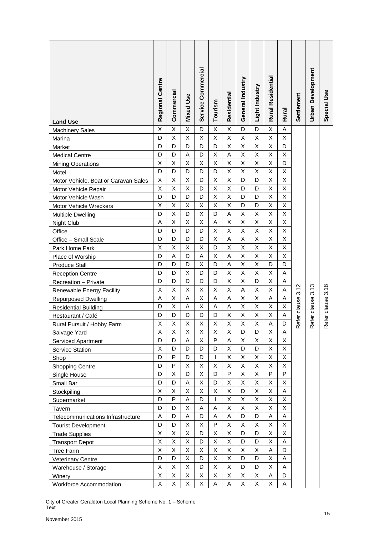| <b>Land Use</b>                      | Regional Centre | Commercial   | <b>Mixed Use</b> | Service Commercial | Tourism      | Residential  | General Industry | Light Industry | Rural Residential | Rural                     | Settlement  | <b>Urban Development</b> | <b>Special Use</b> |
|--------------------------------------|-----------------|--------------|------------------|--------------------|--------------|--------------|------------------|----------------|-------------------|---------------------------|-------------|--------------------------|--------------------|
| <b>Machinery Sales</b>               | X               | X            | X                | D                  | X            | X            | D                | D              | X                 | A                         |             |                          |                    |
| Marina                               | D               | X            | $\sf X$          | Χ                  | X            | Χ            | X                | Χ              | Χ                 | X                         |             |                          |                    |
| Market                               | D               | D            | D                | D                  | D            | X            | X                | X              | X                 | D                         |             |                          |                    |
| <b>Medical Centre</b>                | D               | D            | A                | D                  | X            | A            | X                | X              | X                 | X                         |             |                          |                    |
| <b>Mining Operations</b>             | X               | X            | $\sf X$          | Χ                  | X            | Χ            | X                | $\sf X$        | X                 | D                         |             |                          |                    |
| Motel                                | D               | D            | D                | D                  | D            | Χ            | Χ                | X              | Χ                 | X                         |             |                          |                    |
| Motor Vehicle, Boat or Caravan Sales | Χ               | Χ            | $\sf X$          | D                  | X            | X            | D                | D              | $\sf X$           | X                         |             |                          |                    |
| Motor Vehicle Repair                 | Χ               | X            | $\sf X$          | D                  | X            | X            | D                | D              | $\sf X$           | X                         |             |                          |                    |
| Motor Vehicle Wash                   | D               | D            | D                | D                  | X            | Χ            | D                | D              | Χ                 | Χ                         |             |                          |                    |
| Motor Vehicle Wreckers               | X               | X            | $\mathsf X$      | Χ                  | Χ            | Χ            | D                | D              | X                 | X                         |             |                          |                    |
| <b>Multiple Dwelling</b>             | D               | X            | D                | X                  | D            | A            | Χ                | X              | X                 | $\mathsf X$               |             |                          |                    |
| Night Club                           | A               | X            | $\mathsf X$      | X                  | Α            | X            | X                | $\sf X$        | X                 | $\pmb{\times}$            |             |                          |                    |
| Office                               | D               | D            | D                | D                  | X            | Χ            | Χ                | Χ              | X                 | X                         |             |                          |                    |
| Office - Small Scale                 | D               | D            | D                | D                  | X            | A            | X                | Χ              | Χ                 | X                         |             |                          |                    |
| Park Home Park                       | X               | X            | X                | Χ                  | D            | X            | X                | X              | Χ                 | Χ                         |             |                          |                    |
| Place of Worship                     | D               | A            | D                | A                  | X            | A            | Χ                | X              | Χ                 | X                         |             |                          |                    |
| <b>Produce Stall</b>                 | D               | D            | D                | X                  | D            | $\mathsf{A}$ | X                | $\sf X$        | D                 | D                         |             |                          |                    |
| <b>Reception Centre</b>              | D               | D            | $\mathsf X$      | D                  | D            | Χ            | X                | $\sf X$        | $\sf X$           | A                         |             |                          |                    |
| Recreation - Private                 | D               | D            | D                | D                  | D            | Χ            | X                | D              | Χ                 | Α                         |             |                          |                    |
| Renewable Energy Facility            | Χ               | Χ            | $\mathsf X$      | Χ                  | X            | Χ            | А                | Χ              | Χ                 | Α                         | 3.12        | 3.13                     | 3.18               |
| Repurposed Dwelling                  | A               | X            | $\mathsf{A}$     | Χ                  | A            | A            | X                | $\sf X$        | A                 | A                         |             |                          |                    |
| <b>Residential Building</b>          | D               | X            | A                | X                  | A            | A            | X                | X              | X                 | $\mathsf X$               | efer clause | clause                   | efer clause        |
| Restaurant / Café                    | D               | D            | D                | D                  | D            | X            | X                | X              | X                 | A                         |             |                          |                    |
| Rural Pursuit / Hobby Farm           | Χ               | X            | X                | Χ                  | Χ            | Χ            | X                | Χ              | A                 | D                         |             | efer                     |                    |
| Salvage Yard                         | х               | Χ            | Х                | X                  | Х            | х            | D                | D              | X                 | Α                         | ≃           | ≃                        | ≃                  |
| Serviced Apartment                   | D               | D            | A                | Χ                  | $\mathsf{P}$ | A            | Χ                | $\sf X$        | Χ                 | $\mathsf X$               |             |                          |                    |
| <b>Service Station</b>               | X               | D            | D                | D                  | D            | $\sf X$      | D                | D              | $\mathsf X$       | $\mathsf X$               |             |                          |                    |
| Shop                                 | D               | $\mathsf{P}$ | D                | D                  | $\mathsf{I}$ | $\mathsf X$  | Χ                | $\mathsf X$    | X                 | $\mathsf X$               |             |                          |                    |
| <b>Shopping Centre</b>               | D               | P            | Χ                | Χ                  | X            | X            | X                | $\mathsf X$    | Χ                 | X                         |             |                          |                    |
| Single House                         | D               | Χ            | D                | X                  | D            | P            | Χ                | X              | P                 | ${\sf P}$                 |             |                          |                    |
| Small Bar                            | D               | D            | A                | Χ                  | D            | X            | Χ                | $\sf X$        | X                 | $\mathsf X$               |             |                          |                    |
| Stockpiling                          | X               | Χ            | $\sf X$          | X                  | X            | $\mathsf X$  | D                | $\mathsf{X}$   | $\mathsf X$       | A                         |             |                          |                    |
| Supermarket                          | D               | P            | $\mathsf A$      | D                  | $\mathsf{I}$ | Χ            | Χ                | Χ              | X                 | $\mathsf X$               |             |                          |                    |
| Tavern                               | D               | D            | $\mathsf X$      | Α                  | A            | X            | Χ                | $\mathsf X$    | Χ                 | X                         |             |                          |                    |
| Telecommunications Infrastructure    | A               | D            | $\mathsf A$      | D                  | Α            | Α            | D                | D              | Α                 | A                         |             |                          |                    |
| <b>Tourist Development</b>           | D               | D            | $\sf X$          | X                  | P            | X            | Χ                | $\mathsf X$    | X                 | X                         |             |                          |                    |
| <b>Trade Supplies</b>                | X               | Χ            | Χ                | D                  | X            | Χ            | D                | D              | X                 | $\mathsf X$               |             |                          |                    |
| <b>Transport Depot</b>               | X               | X            | $\sf X$          | D                  | Χ            | Χ            | D                | D              | Χ                 | A                         |             |                          |                    |
| <b>Tree Farm</b>                     | Χ               | Χ            | Χ                | Χ                  | Χ            | $\mathsf X$  | Χ                | Χ              | Α                 | D                         |             |                          |                    |
| <b>Veterinary Centre</b>             | D               | D            | $\sf X$          | D                  | X            | $\mathsf X$  | D                | D              | X                 | A                         |             |                          |                    |
| Warehouse / Storage                  | X               | X            | $\mathsf X$      | D                  | X            | $\mathsf X$  | D                | D              | X                 | A                         |             |                          |                    |
| Winery                               | X               | X            | $\mathsf X$      | Χ                  | Χ            | Χ            | Χ                | X              | A                 | D                         |             |                          |                    |
| Workforce Accommodation              | Χ               | Χ            | $\mathsf X$      | Χ                  | A            | Α            | Χ                | Χ              | Χ                 | $\boldsymbol{\mathsf{A}}$ |             |                          |                    |

City of Greater Geraldton Local Planning Scheme No. 1 – Scheme Text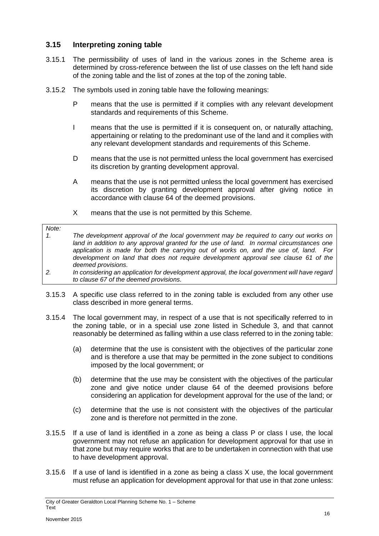# <span id="page-19-0"></span>**3.15 Interpreting zoning table**

- 3.15.1 The permissibility of uses of land in the various zones in the Scheme area is determined by cross-reference between the list of use classes on the left hand side of the zoning table and the list of zones at the top of the zoning table.
- 3.15.2 The symbols used in zoning table have the following meanings:
	- P means that the use is permitted if it complies with any relevant development standards and requirements of this Scheme.
	- I means that the use is permitted if it is consequent on, or naturally attaching, appertaining or relating to the predominant use of the land and it complies with any relevant development standards and requirements of this Scheme.
	- D means that the use is not permitted unless the local government has exercised its discretion by granting development approval.
	- A means that the use is not permitted unless the local government has exercised its discretion by granting development approval after giving notice in accordance with clause 64 of the deemed provisions.
	- X means that the use is not permitted by this Scheme.

#### *Note: 1. The development approval of the local government may be required to carry out works on land in addition to any approval granted for the use of land. In normal circumstances one application is made for both the carrying out of works on, and the use of, land. For development on land that does not require development approval see clause 61 of the deemed provisions. 2. In considering an application for development approval, the local government will have regard to clause 67 of the deemed provisions.*

- 3.15.3 A specific use class referred to in the zoning table is excluded from any other use class described in more general terms.
- 3.15.4 The local government may, in respect of a use that is not specifically referred to in the zoning table, or in a special use zone listed in Schedule 3, and that cannot reasonably be determined as falling within a use class referred to in the zoning table:
	- (a) determine that the use is consistent with the objectives of the particular zone and is therefore a use that may be permitted in the zone subject to conditions imposed by the local government; or
	- (b) determine that the use may be consistent with the objectives of the particular zone and give notice under clause 64 of the deemed provisions before considering an application for development approval for the use of the land; or
	- (c) determine that the use is not consistent with the objectives of the particular zone and is therefore not permitted in the zone.
- 3.15.5 If a use of land is identified in a zone as being a class P or class I use, the local government may not refuse an application for development approval for that use in that zone but may require works that are to be undertaken in connection with that use to have development approval.
- 3.15.6 If a use of land is identified in a zone as being a class X use, the local government must refuse an application for development approval for that use in that zone unless: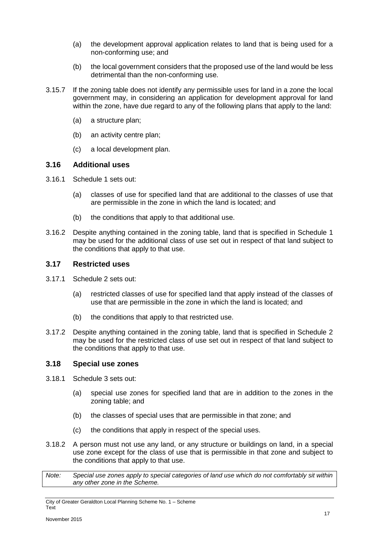- (a) the development approval application relates to land that is being used for a non-conforming use; and
- (b) the local government considers that the proposed use of the land would be less detrimental than the non-conforming use.
- 3.15.7 If the zoning table does not identify any permissible uses for land in a zone the local government may, in considering an application for development approval for land within the zone, have due regard to any of the following plans that apply to the land:
	- (a) a structure plan;
	- (b) an activity centre plan;
	- (c) a local development plan.

#### <span id="page-20-0"></span>**3.16 Additional uses**

- 3.16.1 Schedule 1 sets out:
	- (a) classes of use for specified land that are additional to the classes of use that are permissible in the zone in which the land is located; and
	- (b) the conditions that apply to that additional use.
- 3.16.2 Despite anything contained in the zoning table, land that is specified in Schedule 1 may be used for the additional class of use set out in respect of that land subject to the conditions that apply to that use.

#### <span id="page-20-1"></span>**3.17 Restricted uses**

- 3.17.1 Schedule 2 sets out:
	- (a) restricted classes of use for specified land that apply instead of the classes of use that are permissible in the zone in which the land is located; and
	- (b) the conditions that apply to that restricted use.
- 3.17.2 Despite anything contained in the zoning table, land that is specified in Schedule 2 may be used for the restricted class of use set out in respect of that land subject to the conditions that apply to that use.

#### <span id="page-20-2"></span>**3.18 Special use zones**

- 3.18.1 Schedule 3 sets out:
	- (a) special use zones for specified land that are in addition to the zones in the zoning table; and
	- (b) the classes of special uses that are permissible in that zone; and
	- (c) the conditions that apply in respect of the special uses.
- 3.18.2 A person must not use any land, or any structure or buildings on land, in a special use zone except for the class of use that is permissible in that zone and subject to the conditions that apply to that use.
- *Note: Special use zones apply to special categories of land use which do not comfortably sit within any other zone in the Scheme.*

City of Greater Geraldton Local Planning Scheme No. 1 – Scheme Text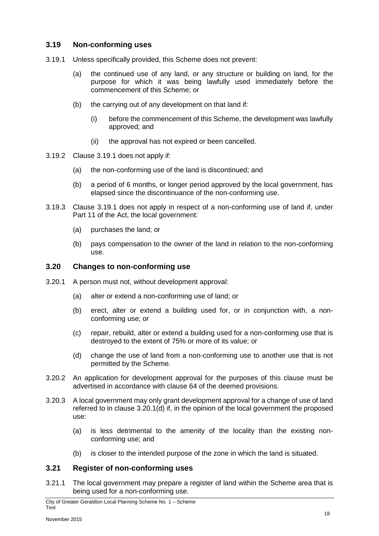# <span id="page-21-0"></span>**3.19 Non-conforming uses**

- 3.19.1 Unless specifically provided, this Scheme does not prevent:
	- (a) the continued use of any land, or any structure or building on land, for the purpose for which it was being lawfully used immediately before the commencement of this Scheme; or
	- (b) the carrying out of any development on that land if:
		- (i) before the commencement of this Scheme, the development was lawfully approved; and
		- (ii) the approval has not expired or been cancelled.
- 3.19.2 Clause 3.19.1 does not apply if:
	- (a) the non-conforming use of the land is discontinued; and
	- (b) a period of 6 months, or longer period approved by the local government, has elapsed since the discontinuance of the non-conforming use.
- 3.19.3 Clause 3.19.1 does not apply in respect of a non-conforming use of land if, under Part 11 of the Act, the local government:
	- (a) purchases the land; or
	- (b) pays compensation to the owner of the land in relation to the non-conforming use.

#### <span id="page-21-1"></span>**3.20 Changes to non-conforming use**

- 3.20.1 A person must not, without development approval:
	- (a) alter or extend a non-conforming use of land; or
	- (b) erect, alter or extend a building used for, or in conjunction with, a nonconforming use; or
	- (c) repair, rebuild, alter or extend a building used for a non-conforming use that is destroyed to the extent of 75% or more of its value; or
	- (d) change the use of land from a non-conforming use to another use that is not permitted by the Scheme.
- 3.20.2 An application for development approval for the purposes of this clause must be advertised in accordance with clause 64 of the deemed provisions.
- 3.20.3 A local government may only grant development approval for a change of use of land referred to in clause 3.20.1(d) if, in the opinion of the local government the proposed use:
	- (a) is less detrimental to the amenity of the locality than the existing nonconforming use; and
	- (b) is closer to the intended purpose of the zone in which the land is situated.

#### <span id="page-21-2"></span>**3.21 Register of non-conforming uses**

3.21.1 The local government may prepare a register of land within the Scheme area that is being used for a non-conforming use.

City of Greater Geraldton Local Planning Scheme No. 1 – Scheme Text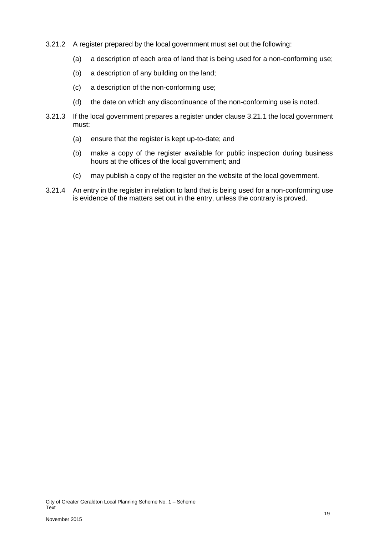- 3.21.2 A register prepared by the local government must set out the following:
	- (a) a description of each area of land that is being used for a non-conforming use;
	- (b) a description of any building on the land;
	- (c) a description of the non-conforming use;
	- (d) the date on which any discontinuance of the non-conforming use is noted.
- 3.21.3 If the local government prepares a register under clause 3.21.1 the local government must:
	- (a) ensure that the register is kept up-to-date; and
	- (b) make a copy of the register available for public inspection during business hours at the offices of the local government; and
	- (c) may publish a copy of the register on the website of the local government.
- 3.21.4 An entry in the register in relation to land that is being used for a non-conforming use is evidence of the matters set out in the entry, unless the contrary is proved.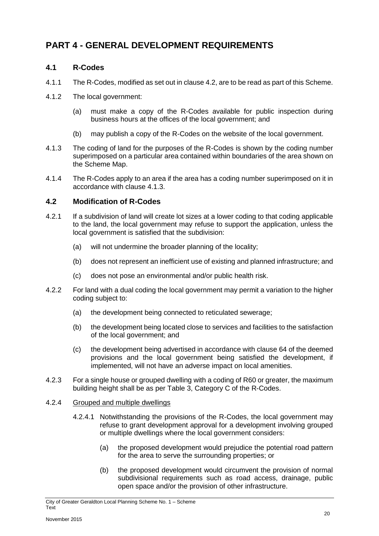# <span id="page-23-0"></span>**PART 4 - GENERAL DEVELOPMENT REQUIREMENTS**

# <span id="page-23-1"></span>**4.1 R-Codes**

- 4.1.1 The R-Codes, modified as set out in clause 4.2, are to be read as part of this Scheme.
- 4.1.2 The local government:
	- (a) must make a copy of the R-Codes available for public inspection during business hours at the offices of the local government; and
	- (b) may publish a copy of the R-Codes on the website of the local government.
- 4.1.3 The coding of land for the purposes of the R-Codes is shown by the coding number superimposed on a particular area contained within boundaries of the area shown on the Scheme Map.
- 4.1.4 The R-Codes apply to an area if the area has a coding number superimposed on it in accordance with clause 4.1.3.

## <span id="page-23-2"></span>**4.2 Modification of R-Codes**

- 4.2.1 If a subdivision of land will create lot sizes at a lower coding to that coding applicable to the land, the local government may refuse to support the application, unless the local government is satisfied that the subdivision:
	- (a) will not undermine the broader planning of the locality;
	- (b) does not represent an inefficient use of existing and planned infrastructure; and
	- (c) does not pose an environmental and/or public health risk.
- 4.2.2 For land with a dual coding the local government may permit a variation to the higher coding subject to:
	- (a) the development being connected to reticulated sewerage;
	- (b) the development being located close to services and facilities to the satisfaction of the local government; and
	- (c) the development being advertised in accordance with clause 64 of the deemed provisions and the local government being satisfied the development, if implemented, will not have an adverse impact on local amenities.
- 4.2.3 For a single house or grouped dwelling with a coding of R60 or greater, the maximum building height shall be as per Table 3, Category C of the R-Codes.
- 4.2.4 Grouped and multiple dwellings
	- 4.2.4.1 Notwithstanding the provisions of the R-Codes, the local government may refuse to grant development approval for a development involving grouped or multiple dwellings where the local government considers:
		- (a) the proposed development would prejudice the potential road pattern for the area to serve the surrounding properties; or
		- (b) the proposed development would circumvent the provision of normal subdivisional requirements such as road access, drainage, public open space and/or the provision of other infrastructure.

City of Greater Geraldton Local Planning Scheme No. 1 – Scheme Text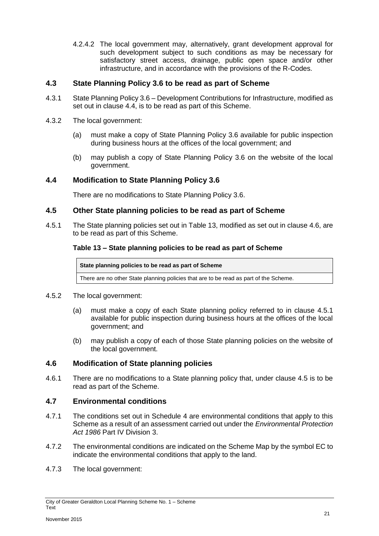4.2.4.2 The local government may, alternatively, grant development approval for such development subject to such conditions as may be necessary for satisfactory street access, drainage, public open space and/or other infrastructure, and in accordance with the provisions of the R-Codes.

## <span id="page-24-0"></span>**4.3 State Planning Policy 3.6 to be read as part of Scheme**

- 4.3.1 State Planning Policy 3.6 Development Contributions for Infrastructure, modified as set out in clause 4.4, is to be read as part of this Scheme.
- 4.3.2 The local government:
	- (a) must make a copy of State Planning Policy 3.6 available for public inspection during business hours at the offices of the local government; and
	- (b) may publish a copy of State Planning Policy 3.6 on the website of the local government.

#### <span id="page-24-1"></span>**4.4 Modification to State Planning Policy 3.6**

There are no modifications to State Planning Policy 3.6.

#### <span id="page-24-2"></span>**4.5 Other State planning policies to be read as part of Scheme**

4.5.1 The State planning policies set out in Table 13, modified as set out in clause 4.6, are to be read as part of this Scheme.

#### **Table 13 – State planning policies to be read as part of Scheme**

**State planning policies to be read as part of Scheme**

There are no other State planning policies that are to be read as part of the Scheme.

- 4.5.2 The local government:
	- (a) must make a copy of each State planning policy referred to in clause 4.5.1 available for public inspection during business hours at the offices of the local government; and
	- (b) may publish a copy of each of those State planning policies on the website of the local government.

#### <span id="page-24-3"></span>**4.6 Modification of State planning policies**

4.6.1 There are no modifications to a State planning policy that, under clause 4.5 is to be read as part of the Scheme.

## <span id="page-24-4"></span>**4.7 Environmental conditions**

- 4.7.1 The conditions set out in Schedule 4 are environmental conditions that apply to this Scheme as a result of an assessment carried out under the *Environmental Protection Act 1986* Part IV Division 3.
- 4.7.2 The environmental conditions are indicated on the Scheme Map by the symbol EC to indicate the environmental conditions that apply to the land.
- 4.7.3 The local government:

City of Greater Geraldton Local Planning Scheme No. 1 – Scheme Text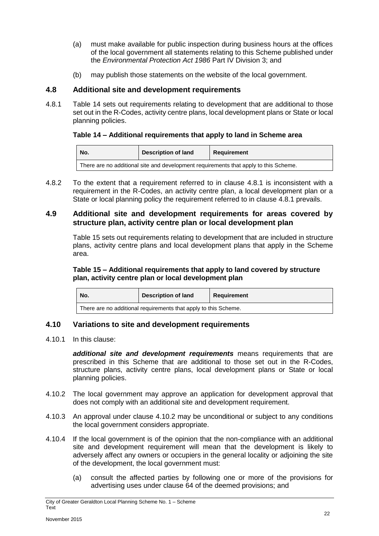- (a) must make available for public inspection during business hours at the offices of the local government all statements relating to this Scheme published under the *Environmental Protection Act 1986* Part IV Division 3; and
- (b) may publish those statements on the website of the local government.

## <span id="page-25-0"></span>**4.8 Additional site and development requirements**

4.8.1 Table 14 sets out requirements relating to development that are additional to those set out in the R-Codes, activity centre plans, local development plans or State or local planning policies.

#### **Table 14 – Additional requirements that apply to land in Scheme area**

| 'No.                                                                                 | Description of land | Reauirement |  |  |  |  |
|--------------------------------------------------------------------------------------|---------------------|-------------|--|--|--|--|
| There are no additional site and development requirements that apply to this Scheme. |                     |             |  |  |  |  |

4.8.2 To the extent that a requirement referred to in clause 4.8.1 is inconsistent with a requirement in the R-Codes, an activity centre plan, a local development plan or a State or local planning policy the requirement referred to in clause 4.8.1 prevails.

#### <span id="page-25-1"></span>**4.9 Additional site and development requirements for areas covered by structure plan, activity centre plan or local development plan**

Table 15 sets out requirements relating to development that are included in structure plans, activity centre plans and local development plans that apply in the Scheme area.

#### **Table 15 – Additional requirements that apply to land covered by structure plan, activity centre plan or local development plan**

| No.                                                             | <b>Description of land</b> | Reauirement |  |  |  |  |
|-----------------------------------------------------------------|----------------------------|-------------|--|--|--|--|
| There are no additional requirements that apply to this Scheme. |                            |             |  |  |  |  |

#### <span id="page-25-2"></span>**4.10 Variations to site and development requirements**

4.10.1 In this clause:

*additional site and development requirements* means requirements that are prescribed in this Scheme that are additional to those set out in the R-Codes, structure plans, activity centre plans, local development plans or State or local planning policies.

- 4.10.2 The local government may approve an application for development approval that does not comply with an additional site and development requirement.
- 4.10.3 An approval under clause 4.10.2 may be unconditional or subject to any conditions the local government considers appropriate.
- 4.10.4 If the local government is of the opinion that the non-compliance with an additional site and development requirement will mean that the development is likely to adversely affect any owners or occupiers in the general locality or adjoining the site of the development, the local government must:
	- (a) consult the affected parties by following one or more of the provisions for advertising uses under clause 64 of the deemed provisions; and

City of Greater Geraldton Local Planning Scheme No. 1 – Scheme Text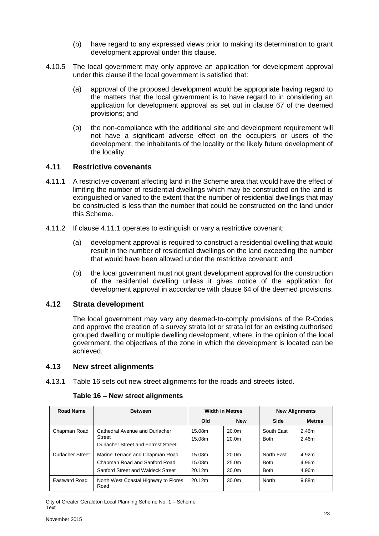- (b) have regard to any expressed views prior to making its determination to grant development approval under this clause.
- 4.10.5 The local government may only approve an application for development approval under this clause if the local government is satisfied that:
	- (a) approval of the proposed development would be appropriate having regard to the matters that the local government is to have regard to in considering an application for development approval as set out in clause 67 of the deemed provisions; and
	- (b) the non-compliance with the additional site and development requirement will not have a significant adverse effect on the occupiers or users of the development, the inhabitants of the locality or the likely future development of the locality.

#### <span id="page-26-0"></span>**4.11 Restrictive covenants**

- 4.11.1 A restrictive covenant affecting land in the Scheme area that would have the effect of limiting the number of residential dwellings which may be constructed on the land is extinguished or varied to the extent that the number of residential dwellings that may be constructed is less than the number that could be constructed on the land under this Scheme.
- 4.11.2 If clause 4.11.1 operates to extinguish or vary a restrictive covenant:
	- (a) development approval is required to construct a residential dwelling that would result in the number of residential dwellings on the land exceeding the number that would have been allowed under the restrictive covenant; and
	- (b) the local government must not grant development approval for the construction of the residential dwelling unless it gives notice of the application for development approval in accordance with clause 64 of the deemed provisions.

#### <span id="page-26-1"></span>**4.12 Strata development**

The local government may vary any deemed-to-comply provisions of the R-Codes and approve the creation of a survey strata lot or strata lot for an existing authorised grouped dwelling or multiple dwelling development, where, in the opinion of the local government, the objectives of the zone in which the development is located can be achieved.

#### <span id="page-26-2"></span>**4.13 New street alignments**

4.13.1 Table 16 sets out new street alignments for the roads and streets listed.

| <b>Road Name</b>        | <b>Between</b>                                                                                        | <b>Width in Metres</b>     |                                                             | <b>New Alignments</b>                    |                         |  |
|-------------------------|-------------------------------------------------------------------------------------------------------|----------------------------|-------------------------------------------------------------|------------------------------------------|-------------------------|--|
|                         |                                                                                                       | Old                        | <b>New</b>                                                  | <b>Side</b>                              | <b>Metres</b>           |  |
| Chapman Road            | Cathedral Avenue and Durlacher<br>Street<br>Durlacher Street and Forrest Street                       | 15.08m<br>15.08m           | 20.0 <sub>m</sub><br>20.0 <sub>m</sub>                      | South East<br><b>Both</b>                | 2.46m<br>2.46m          |  |
| <b>Durlacher Street</b> | Marine Terrace and Chapman Road<br>Chapman Road and Sanford Road<br>Sanford Street and Waldeck Street | 15.08m<br>15.08m<br>20.12m | 20.0 <sub>m</sub><br>25.0 <sub>m</sub><br>30.0 <sub>m</sub> | North East<br><b>Both</b><br><b>Both</b> | 4.92m<br>4.96m<br>4.96m |  |
| Eastward Road           | North West Coastal Highway to Flores<br>Road                                                          | 20.12m                     | 30.0 <sub>m</sub>                                           | North                                    | 9.88m                   |  |

#### **Table 16 – New street alignments**

City of Greater Geraldton Local Planning Scheme No. 1 – Scheme Text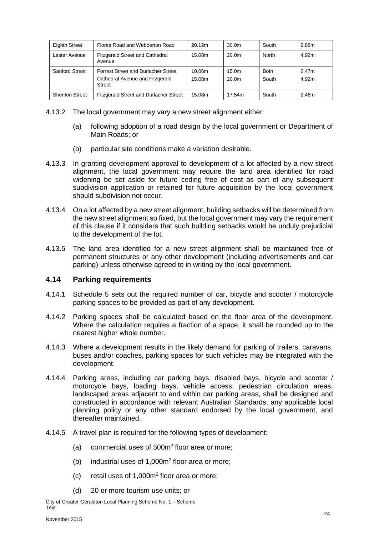| <b>Eighth Street</b>  | Flores Road and Webberton Road                                                                 | 20.12m           | 30.0 <sub>m</sub>                      | South                | 9.88m             |
|-----------------------|------------------------------------------------------------------------------------------------|------------------|----------------------------------------|----------------------|-------------------|
| Lester Avenue         | <b>Fitzgerald Street and Cathedral</b><br>Avenue                                               | 15.08m           | 20.0 <sub>m</sub>                      | North                | 4.92m             |
| <b>Sanford Street</b> | <b>Forrest Street and Durlacher Street</b><br>Cathedral Avenue and Fitzgerald<br><b>Street</b> | 10.06m<br>15.08m | 15.0 <sub>m</sub><br>20.0 <sub>m</sub> | <b>Both</b><br>South | 2.47m<br>4.92m    |
| <b>Shenton Street</b> | <b>Fitzgerald Street and Durlacher Street</b>                                                  | 15.08m           | 17.54m                                 | South                | 2.46 <sub>m</sub> |

- 4.13.2 The local government may vary a new street alignment either:
	- (a) following adoption of a road design by the local government or Department of Main Roads; or
	- (b) particular site conditions make a variation desirable.
- 4.13.3 In granting development approval to development of a lot affected by a new street alignment, the local government may require the land area identified for road widening be set aside for future ceding free of cost as part of any subsequent subdivision application or retained for future acquisition by the local government should subdivision not occur.
- 4.13.4 On a lot affected by a new street alignment, building setbacks will be determined from the new street alignment so fixed, but the local government may vary the requirement of this clause if it considers that such building setbacks would be unduly prejudicial to the development of the lot.
- 4.13.5 The land area identified for a new street alignment shall be maintained free of permanent structures or any other development (including advertisements and car parking) unless otherwise agreed to in writing by the local government.

# <span id="page-27-0"></span>**4.14 Parking requirements**

- 4.14.1 Schedule 5 sets out the required number of car, bicycle and scooter / motorcycle parking spaces to be provided as part of any development.
- 4.14.2 Parking spaces shall be calculated based on the floor area of the development. Where the calculation requires a fraction of a space, it shall be rounded up to the nearest higher whole number.
- 4.14.3 Where a development results in the likely demand for parking of trailers, caravans, buses and/or coaches, parking spaces for such vehicles may be integrated with the development.
- 4.14.4 Parking areas, including car parking bays, disabled bays, bicycle and scooter / motorcycle bays, loading bays, vehicle access, pedestrian circulation areas, landscaped areas adjacent to and within car parking areas, shall be designed and constructed in accordance with relevant Australian Standards, any applicable local planning policy or any other standard endorsed by the local government, and thereafter maintained.
- 4.14.5 A travel plan is required for the following types of development:
	- (a) commercial uses of  $500<sup>m²</sup>$  floor area or more;
	- (b) industrial uses of 1,000m<sup>2</sup> floor area or more;
	- $(c)$  retail uses of 1,000 $m<sup>2</sup>$  floor area or more;
	- (d) 20 or more tourism use units; or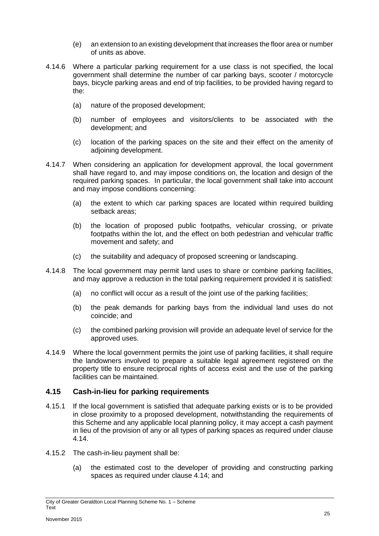- (e) an extension to an existing development that increases the floor area or number of units as above.
- 4.14.6 Where a particular parking requirement for a use class is not specified, the local government shall determine the number of car parking bays, scooter / motorcycle bays, bicycle parking areas and end of trip facilities, to be provided having regard to the:
	- (a) nature of the proposed development;
	- (b) number of employees and visitors/clients to be associated with the development; and
	- (c) location of the parking spaces on the site and their effect on the amenity of adjoining development.
- 4.14.7 When considering an application for development approval, the local government shall have regard to, and may impose conditions on, the location and design of the required parking spaces. In particular, the local government shall take into account and may impose conditions concerning:
	- (a) the extent to which car parking spaces are located within required building setback areas;
	- (b) the location of proposed public footpaths, vehicular crossing, or private footpaths within the lot, and the effect on both pedestrian and vehicular traffic movement and safety; and
	- (c) the suitability and adequacy of proposed screening or landscaping.
- 4.14.8 The local government may permit land uses to share or combine parking facilities, and may approve a reduction in the total parking requirement provided it is satisfied:
	- (a) no conflict will occur as a result of the joint use of the parking facilities;
	- (b) the peak demands for parking bays from the individual land uses do not coincide; and
	- (c) the combined parking provision will provide an adequate level of service for the approved uses.
- 4.14.9 Where the local government permits the joint use of parking facilities, it shall require the landowners involved to prepare a suitable legal agreement registered on the property title to ensure reciprocal rights of access exist and the use of the parking facilities can be maintained.

# <span id="page-28-0"></span>**4.15 Cash-in-lieu for parking requirements**

- 4.15.1 If the local government is satisfied that adequate parking exists or is to be provided in close proximity to a proposed development, notwithstanding the requirements of this Scheme and any applicable local planning policy, it may accept a cash payment in lieu of the provision of any or all types of parking spaces as required under clause 4.14.
- 4.15.2 The cash-in-lieu payment shall be:
	- (a) the estimated cost to the developer of providing and constructing parking spaces as required under clause 4.14; and

City of Greater Geraldton Local Planning Scheme No. 1 – Scheme Text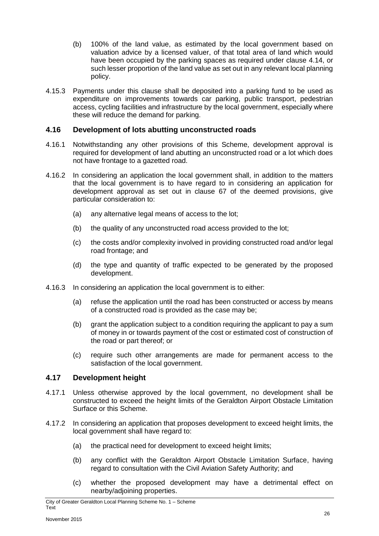- (b) 100% of the land value, as estimated by the local government based on valuation advice by a licensed valuer, of that total area of land which would have been occupied by the parking spaces as required under clause 4.14, or such lesser proportion of the land value as set out in any relevant local planning policy.
- 4.15.3 Payments under this clause shall be deposited into a parking fund to be used as expenditure on improvements towards car parking, public transport, pedestrian access, cycling facilities and infrastructure by the local government, especially where these will reduce the demand for parking.

#### <span id="page-29-0"></span>**4.16 Development of lots abutting unconstructed roads**

- 4.16.1 Notwithstanding any other provisions of this Scheme, development approval is required for development of land abutting an unconstructed road or a lot which does not have frontage to a gazetted road.
- 4.16.2 In considering an application the local government shall, in addition to the matters that the local government is to have regard to in considering an application for development approval as set out in clause 67 of the deemed provisions, give particular consideration to:
	- (a) any alternative legal means of access to the lot;
	- (b) the quality of any unconstructed road access provided to the lot;
	- (c) the costs and/or complexity involved in providing constructed road and/or legal road frontage; and
	- (d) the type and quantity of traffic expected to be generated by the proposed development.
- 4.16.3 In considering an application the local government is to either:
	- (a) refuse the application until the road has been constructed or access by means of a constructed road is provided as the case may be;
	- (b) grant the application subject to a condition requiring the applicant to pay a sum of money in or towards payment of the cost or estimated cost of construction of the road or part thereof; or
	- (c) require such other arrangements are made for permanent access to the satisfaction of the local government.

#### <span id="page-29-1"></span>**4.17 Development height**

- 4.17.1 Unless otherwise approved by the local government, no development shall be constructed to exceed the height limits of the Geraldton Airport Obstacle Limitation Surface or this Scheme.
- 4.17.2 In considering an application that proposes development to exceed height limits, the local government shall have regard to:
	- (a) the practical need for development to exceed height limits;
	- (b) any conflict with the Geraldton Airport Obstacle Limitation Surface, having regard to consultation with the Civil Aviation Safety Authority; and
	- (c) whether the proposed development may have a detrimental effect on nearby/adjoining properties.

City of Greater Geraldton Local Planning Scheme No. 1 – Scheme Text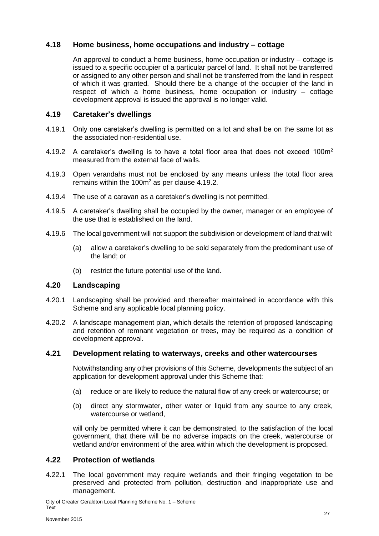#### <span id="page-30-0"></span>**4.18 Home business, home occupations and industry – cottage**

An approval to conduct a home business, home occupation or industry – cottage is issued to a specific occupier of a particular parcel of land. It shall not be transferred or assigned to any other person and shall not be transferred from the land in respect of which it was granted. Should there be a change of the occupier of the land in respect of which a home business, home occupation or industry – cottage development approval is issued the approval is no longer valid.

#### <span id="page-30-1"></span>**4.19 Caretaker's dwellings**

- 4.19.1 Only one caretaker's dwelling is permitted on a lot and shall be on the same lot as the associated non-residential use.
- 4.19.2 A caretaker's dwelling is to have a total floor area that does not exceed 100m<sup>2</sup> measured from the external face of walls.
- 4.19.3 Open verandahs must not be enclosed by any means unless the total floor area remains within the 100 $m<sup>2</sup>$  as per clause 4.19.2.
- 4.19.4 The use of a caravan as a caretaker's dwelling is not permitted.
- 4.19.5 A caretaker's dwelling shall be occupied by the owner, manager or an employee of the use that is established on the land.
- 4.19.6 The local government will not support the subdivision or development of land that will:
	- (a) allow a caretaker's dwelling to be sold separately from the predominant use of the land; or
	- (b) restrict the future potential use of the land.

#### <span id="page-30-2"></span>**4.20 Landscaping**

- 4.20.1 Landscaping shall be provided and thereafter maintained in accordance with this Scheme and any applicable local planning policy.
- 4.20.2 A landscape management plan, which details the retention of proposed landscaping and retention of remnant vegetation or trees, may be required as a condition of development approval.

# <span id="page-30-3"></span>**4.21 Development relating to waterways, creeks and other watercourses**

Notwithstanding any other provisions of this Scheme, developments the subject of an application for development approval under this Scheme that:

- (a) reduce or are likely to reduce the natural flow of any creek or watercourse; or
- (b) direct any stormwater, other water or liquid from any source to any creek, watercourse or wetland,

will only be permitted where it can be demonstrated, to the satisfaction of the local government, that there will be no adverse impacts on the creek, watercourse or wetland and/or environment of the area within which the development is proposed.

#### <span id="page-30-4"></span>**4.22 Protection of wetlands**

4.22.1 The local government may require wetlands and their fringing vegetation to be preserved and protected from pollution, destruction and inappropriate use and management.

City of Greater Geraldton Local Planning Scheme No. 1 – Scheme Text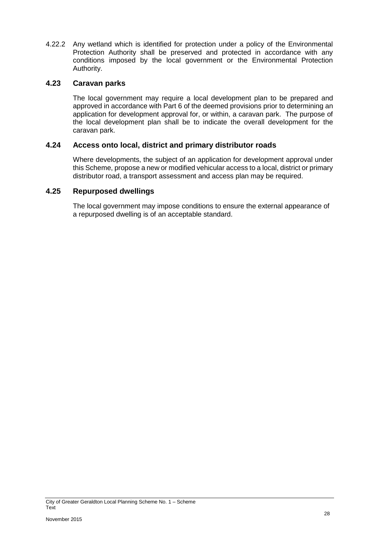4.22.2 Any wetland which is identified for protection under a policy of the Environmental Protection Authority shall be preserved and protected in accordance with any conditions imposed by the local government or the Environmental Protection Authority.

#### <span id="page-31-0"></span>**4.23 Caravan parks**

The local government may require a local development plan to be prepared and approved in accordance with Part 6 of the deemed provisions prior to determining an application for development approval for, or within, a caravan park. The purpose of the local development plan shall be to indicate the overall development for the caravan park.

#### <span id="page-31-1"></span>**4.24 Access onto local, district and primary distributor roads**

Where developments, the subject of an application for development approval under this Scheme, propose a new or modified vehicular access to a local, district or primary distributor road, a transport assessment and access plan may be required.

#### <span id="page-31-2"></span>**4.25 Repurposed dwellings**

The local government may impose conditions to ensure the external appearance of a repurposed dwelling is of an acceptable standard.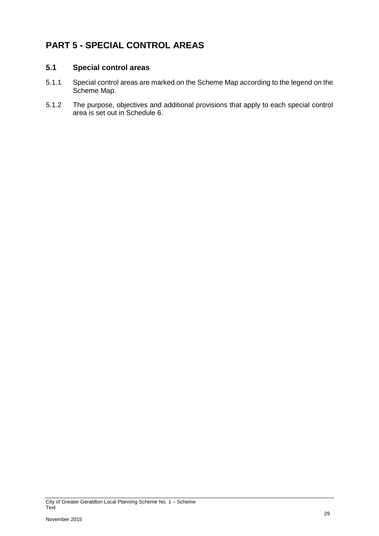# <span id="page-32-0"></span>**PART 5 - SPECIAL CONTROL AREAS**

# <span id="page-32-1"></span>**5.1 Special control areas**

- 5.1.1 Special control areas are marked on the Scheme Map according to the legend on the Scheme Map.
- 5.1.2 The purpose, objectives and additional provisions that apply to each special control area is set out in Schedule 6.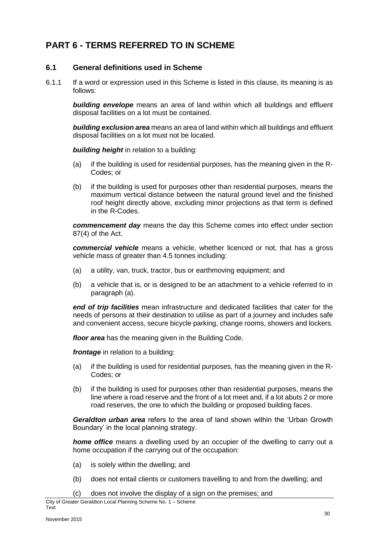# <span id="page-33-0"></span>**PART 6 - TERMS REFERRED TO IN SCHEME**

# <span id="page-33-1"></span>**6.1 General definitions used in Scheme**

6.1.1 If a word or expression used in this Scheme is listed in this clause, its meaning is as follows:

*building envelope* means an area of land within which all buildings and effluent disposal facilities on a lot must be contained.

*building exclusion area* means an area of land within which all buildings and effluent disposal facilities on a lot must not be located.

**building height** in relation to a building:

- (a) if the building is used for residential purposes, has the meaning given in the R-Codes; or
- (b) if the building is used for purposes other than residential purposes, means the maximum vertical distance between the natural ground level and the finished roof height directly above, excluding minor projections as that term is defined in the R-Codes.

*commencement day* means the day this Scheme comes into effect under section 87(4) of the Act.

*commercial vehicle* means a vehicle, whether licenced or not, that has a gross vehicle mass of greater than 4.5 tonnes including:

- (a) a utility, van, truck, tractor, bus or earthmoving equipment; and
- (b) a vehicle that is, or is designed to be an attachment to a vehicle referred to in paragraph (a).

*end of trip facilities* mean infrastructure and dedicated facilities that cater for the needs of persons at their destination to utilise as part of a journey and includes safe and convenient access, secure bicycle parking, change rooms, showers and lockers.

*floor area* has the meaning given in the Building Code.

*frontage* in relation to a building:

- (a) if the building is used for residential purposes, has the meaning given in the R-Codes; or
- (b) if the building is used for purposes other than residential purposes, means the line where a road reserve and the front of a lot meet and, if a lot abuts 2 or more road reserves, the one to which the building or proposed building faces.

*Geraldton urban area* refers to the area of land shown within the 'Urban Growth Boundary' in the local planning strategy.

*home office* means a dwelling used by an occupier of the dwelling to carry out a home occupation if the carrying out of the occupation:

- (a) is solely within the dwelling; and
- (b) does not entail clients or customers travelling to and from the dwelling; and
- (c) does not involve the display of a sign on the premises; and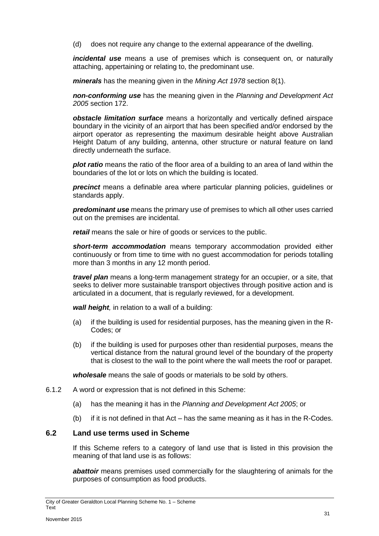(d) does not require any change to the external appearance of the dwelling.

*incidental use* means a use of premises which is consequent on, or naturally attaching, appertaining or relating to, the predominant use.

*minerals* has the meaning given in the *Mining Act 1978* section 8(1).

*non-conforming use* has the meaning given in the *Planning and Development Act 2005* section 172.

*obstacle limitation surface* means a horizontally and vertically defined airspace boundary in the vicinity of an airport that has been specified and/or endorsed by the airport operator as representing the maximum desirable height above Australian Height Datum of any building, antenna, other structure or natural feature on land directly underneath the surface.

*plot ratio* means the ratio of the floor area of a building to an area of land within the boundaries of the lot or lots on which the building is located.

*precinct* means a definable area where particular planning policies, guidelines or standards apply.

*predominant use* means the primary use of premises to which all other uses carried out on the premises are incidental.

*retail* means the sale or hire of goods or services to the public.

*short-term accommodation* means temporary accommodation provided either continuously or from time to time with no guest accommodation for periods totalling more than 3 months in any 12 month period.

*travel plan* means a long-term management strategy for an occupier, or a site, that seeks to deliver more sustainable transport objectives through positive action and is articulated in a document, that is regularly reviewed, for a development.

*wall height,* in relation to a wall of a building:

- (a) if the building is used for residential purposes, has the meaning given in the R-Codes; or
- (b) if the building is used for purposes other than residential purposes, means the vertical distance from the natural ground level of the boundary of the property that is closest to the wall to the point where the wall meets the roof or parapet.

*wholesale* means the sale of goods or materials to be sold by others.

- 6.1.2 A word or expression that is not defined in this Scheme:
	- (a) has the meaning it has in the *Planning and Development Act 2005*; or
	- (b) if it is not defined in that  $Act has$  the same meaning as it has in the R-Codes.

#### <span id="page-34-0"></span>**6.2 Land use terms used in Scheme**

If this Scheme refers to a category of land use that is listed in this provision the meaning of that land use is as follows:

*abattoir* means premises used commercially for the slaughtering of animals for the purposes of consumption as food products.

City of Greater Geraldton Local Planning Scheme No. 1 – Scheme Text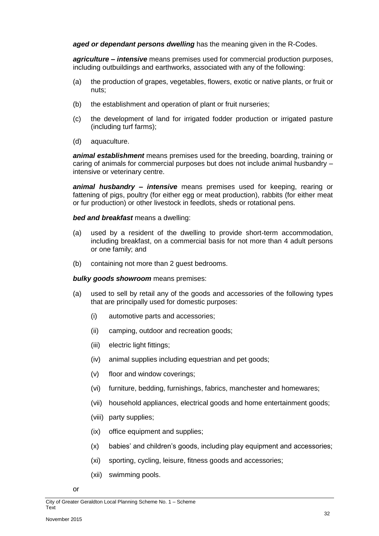*aged or dependant persons dwelling* has the meaning given in the R-Codes.

*agriculture – intensive* means premises used for commercial production purposes, including outbuildings and earthworks, associated with any of the following:

- (a) the production of grapes, vegetables, flowers, exotic or native plants, or fruit or nuts;
- (b) the establishment and operation of plant or fruit nurseries;
- (c) the development of land for irrigated fodder production or irrigated pasture (including turf farms);
- (d) aquaculture.

*animal establishment* means premises used for the breeding, boarding, training or caring of animals for commercial purposes but does not include animal husbandry – intensive or veterinary centre.

*animal husbandry – intensive* means premises used for keeping, rearing or fattening of pigs, poultry (for either egg or meat production), rabbits (for either meat or fur production) or other livestock in feedlots, sheds or rotational pens.

*bed and breakfast* means a dwelling:

- (a) used by a resident of the dwelling to provide short-term accommodation, including breakfast, on a commercial basis for not more than 4 adult persons or one family; and
- (b) containing not more than 2 guest bedrooms.

*bulky goods showroom* means premises:

- (a) used to sell by retail any of the goods and accessories of the following types that are principally used for domestic purposes:
	- (i) automotive parts and accessories;
	- (ii) camping, outdoor and recreation goods;
	- (iii) electric light fittings;
	- (iv) animal supplies including equestrian and pet goods;
	- (v) floor and window coverings;
	- (vi) furniture, bedding, furnishings, fabrics, manchester and homewares;
	- (vii) household appliances, electrical goods and home entertainment goods;
	- (viii) party supplies;
	- (ix) office equipment and supplies;
	- (x) babies' and children's goods, including play equipment and accessories;
	- (xi) sporting, cycling, leisure, fitness goods and accessories;
	- (xii) swimming pools.

City of Greater Geraldton Local Planning Scheme No. 1 – Scheme Text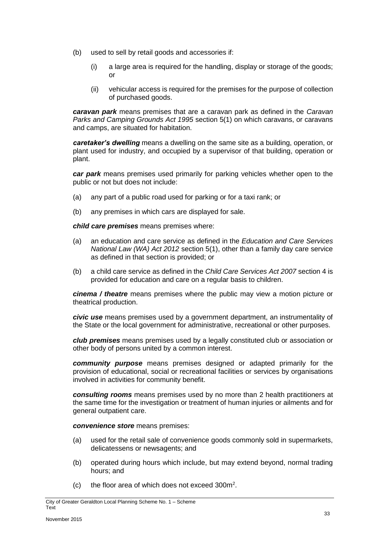- (b) used to sell by retail goods and accessories if:
	- (i) a large area is required for the handling, display or storage of the goods; or
	- (ii) vehicular access is required for the premises for the purpose of collection of purchased goods.

*caravan park* means premises that are a caravan park as defined in the *Caravan Parks and Camping Grounds Act 1995* section 5(1) on which caravans, or caravans and camps, are situated for habitation.

*caretaker's dwelling* means a dwelling on the same site as a building, operation, or plant used for industry, and occupied by a supervisor of that building, operation or plant.

*car park* means premises used primarily for parking vehicles whether open to the public or not but does not include:

- (a) any part of a public road used for parking or for a taxi rank; or
- (b) any premises in which cars are displayed for sale.

*child care premises* means premises where:

- (a) an education and care service as defined in the *Education and Care Services National Law (WA) Act 2012* section 5(1), other than a family day care service as defined in that section is provided; or
- (b) a child care service as defined in the *Child Care Services Act 2007* section 4 is provided for education and care on a regular basis to children.

*cinema / theatre* means premises where the public may view a motion picture or theatrical production.

*civic use* means premises used by a government department, an instrumentality of the State or the local government for administrative, recreational or other purposes.

*club premises* means premises used by a legally constituted club or association or other body of persons united by a common interest.

*community purpose* means premises designed or adapted primarily for the provision of educational, social or recreational facilities or services by organisations involved in activities for community benefit.

*consulting rooms* means premises used by no more than 2 health practitioners at the same time for the investigation or treatment of human injuries or ailments and for general outpatient care.

*convenience store* means premises:

- (a) used for the retail sale of convenience goods commonly sold in supermarkets, delicatessens or newsagents; and
- (b) operated during hours which include, but may extend beyond, normal trading hours; and
- (c) the floor area of which does not exceed  $300m^2$ .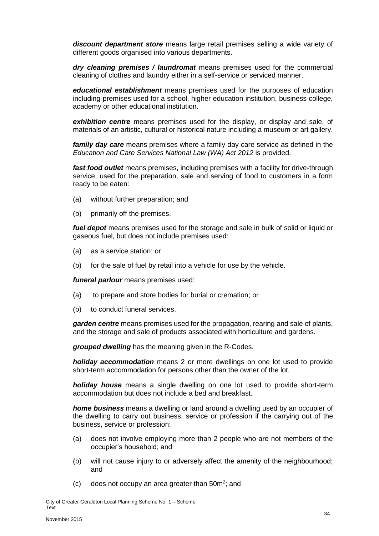*discount department store* means large retail premises selling a wide variety of different goods organised into various departments.

*dry cleaning premises / laundromat* means premises used for the commercial cleaning of clothes and laundry either in a self-service or serviced manner.

*educational establishment* means premises used for the purposes of education including premises used for a school, higher education institution, business college, academy or other educational institution.

*exhibition centre* means premises used for the display, or display and sale, of materials of an artistic, cultural or historical nature including a museum or art gallery.

*family day care* means premises where a family day care service as defined in the *Education and Care Services National Law (WA) Act 2012* is provided.

*fast food outlet* means premises, including premises with a facility for drive-through service, used for the preparation, sale and serving of food to customers in a form ready to be eaten:

- (a) without further preparation; and
- (b) primarily off the premises.

*fuel depot* means premises used for the storage and sale in bulk of solid or liquid or gaseous fuel, but does not include premises used:

- (a) as a service station; or
- (b) for the sale of fuel by retail into a vehicle for use by the vehicle.

*funeral parlour* means premises used:

- (a) to prepare and store bodies for burial or cremation; or
- (b) to conduct funeral services.

*garden centre* means premises used for the propagation, rearing and sale of plants, and the storage and sale of products associated with horticulture and gardens.

*grouped dwelling* has the meaning given in the R-Codes.

*holiday accommodation* means 2 or more dwellings on one lot used to provide short-term accommodation for persons other than the owner of the lot.

*holiday house* means a single dwelling on one lot used to provide short-term accommodation but does not include a bed and breakfast.

*home business* means a dwelling or land around a dwelling used by an occupier of the dwelling to carry out business, service or profession if the carrying out of the business, service or profession:

- (a) does not involve employing more than 2 people who are not members of the occupier's household; and
- (b) will not cause injury to or adversely affect the amenity of the neighbourhood; and
- $(c)$  does not occupy an area greater than 50 $m<sup>2</sup>$ ; and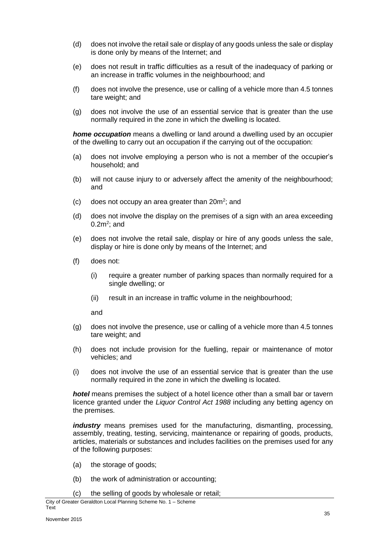- (d) does not involve the retail sale or display of any goods unless the sale or display is done only by means of the Internet; and
- (e) does not result in traffic difficulties as a result of the inadequacy of parking or an increase in traffic volumes in the neighbourhood; and
- (f) does not involve the presence, use or calling of a vehicle more than 4.5 tonnes tare weight; and
- (g) does not involve the use of an essential service that is greater than the use normally required in the zone in which the dwelling is located.

*home occupation* means a dwelling or land around a dwelling used by an occupier of the dwelling to carry out an occupation if the carrying out of the occupation:

- (a) does not involve employing a person who is not a member of the occupier's household; and
- (b) will not cause injury to or adversely affect the amenity of the neighbourhood; and
- (c) does not occupy an area greater than  $20m^2$ ; and
- (d) does not involve the display on the premises of a sign with an area exceeding  $0.2m^2$ ; and
- (e) does not involve the retail sale, display or hire of any goods unless the sale, display or hire is done only by means of the Internet; and
- (f) does not:
	- (i) require a greater number of parking spaces than normally required for a single dwelling; or
	- (ii) result in an increase in traffic volume in the neighbourhood;

and

- (g) does not involve the presence, use or calling of a vehicle more than 4.5 tonnes tare weight; and
- (h) does not include provision for the fuelling, repair or maintenance of motor vehicles; and
- (i) does not involve the use of an essential service that is greater than the use normally required in the zone in which the dwelling is located.

*hotel* means premises the subject of a hotel licence other than a small bar or tavern licence granted under the *Liquor Control Act 1988* including any betting agency on the premises.

*industry* means premises used for the manufacturing, dismantling, processing, assembly, treating, testing, servicing, maintenance or repairing of goods, products, articles, materials or substances and includes facilities on the premises used for any of the following purposes:

- (a) the storage of goods;
- (b) the work of administration or accounting;
- (c) the selling of goods by wholesale or retail;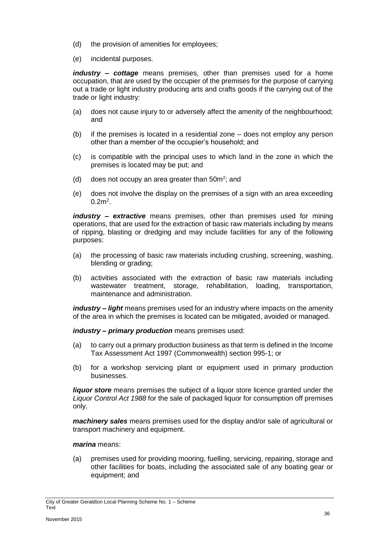- (d) the provision of amenities for employees;
- (e) incidental purposes.

*industry – cottage* means premises, other than premises used for a home occupation, that are used by the occupier of the premises for the purpose of carrying out a trade or light industry producing arts and crafts goods if the carrying out of the trade or light industry:

- (a) does not cause injury to or adversely affect the amenity of the neighbourhood; and
- (b) if the premises is located in a residential zone does not employ any person other than a member of the occupier's household; and
- (c) is compatible with the principal uses to which land in the zone in which the premises is located may be put; and
- (d) does not occupy an area greater than  $50m^2$ ; and
- (e) does not involve the display on the premises of a sign with an area exceeding  $0.2m^2$ .

*industry – extractive* means premises, other than premises used for mining operations, that are used for the extraction of basic raw materials including by means of ripping, blasting or dredging and may include facilities for any of the following purposes:

- (a) the processing of basic raw materials including crushing, screening, washing, blending or grading;
- (b) activities associated with the extraction of basic raw materials including wastewater treatment, storage, rehabilitation, loading, transportation, maintenance and administration.

*industry – light* means premises used for an industry where impacts on the amenity of the area in which the premises is located can be mitigated, avoided or managed.

*industry – primary production* means premises used:

- (a) to carry out a primary production business as that term is defined in the Income Tax Assessment Act 1997 (Commonwealth) section 995-1; or
- (b) for a workshop servicing plant or equipment used in primary production businesses.

*liquor store* means premises the subject of a liquor store licence granted under the *Liquor Control Act 1988* for the sale of packaged liquor for consumption off premises only.

*machinery sales* means premises used for the display and/or sale of agricultural or transport machinery and equipment.

#### *marina* means:

(a) premises used for providing mooring, fuelling, servicing, repairing, storage and other facilities for boats, including the associated sale of any boating gear or equipment; and

City of Greater Geraldton Local Planning Scheme No. 1 – Scheme Text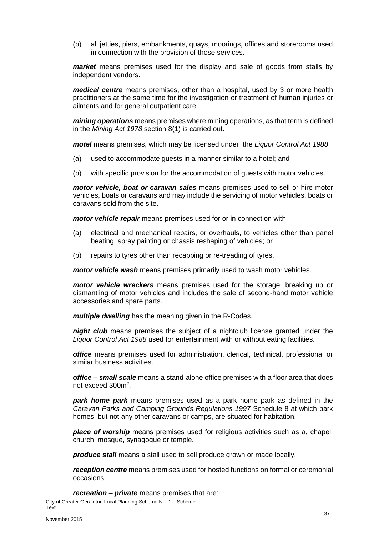(b) all jetties, piers, embankments, quays, moorings, offices and storerooms used in connection with the provision of those services.

*market* means premises used for the display and sale of goods from stalls by independent vendors.

*medical centre* means premises, other than a hospital, used by 3 or more health practitioners at the same time for the investigation or treatment of human injuries or ailments and for general outpatient care.

*mining operations* means premises where mining operations, as that term is defined in the *Mining Act 1978* section 8(1) is carried out.

*motel* means premises, which may be licensed under the *Liquor Control Act 1988*:

- (a) used to accommodate guests in a manner similar to a hotel; and
- (b) with specific provision for the accommodation of guests with motor vehicles.

*motor vehicle, boat or caravan sales* means premises used to sell or hire motor vehicles, boats or caravans and may include the servicing of motor vehicles, boats or caravans sold from the site.

*motor vehicle repair* means premises used for or in connection with:

- (a) electrical and mechanical repairs, or overhauls, to vehicles other than panel beating, spray painting or chassis reshaping of vehicles; or
- (b) repairs to tyres other than recapping or re-treading of tyres.

*motor vehicle wash* means premises primarily used to wash motor vehicles.

*motor vehicle wreckers* means premises used for the storage, breaking up or dismantling of motor vehicles and includes the sale of second-hand motor vehicle accessories and spare parts.

*multiple dwelling* has the meaning given in the R-Codes.

*night club* means premises the subject of a nightclub license granted under the *Liquor Control Act 1988* used for entertainment with or without eating facilities.

*office* means premises used for administration, clerical, technical, professional or similar business activities.

*office – small scale* means a stand-alone office premises with a floor area that does not exceed 300m<sup>2</sup>.

*park home park* means premises used as a park home park as defined in the *Caravan Parks and Camping Grounds Regulations 1997* Schedule 8 at which park homes, but not any other caravans or camps, are situated for habitation.

*place of worship* means premises used for religious activities such as a, chapel, church, mosque, synagogue or temple.

*produce stall* means a stall used to sell produce grown or made locally.

*reception centre* means premises used for hosted functions on formal or ceremonial occasions.

*recreation – private* means premises that are: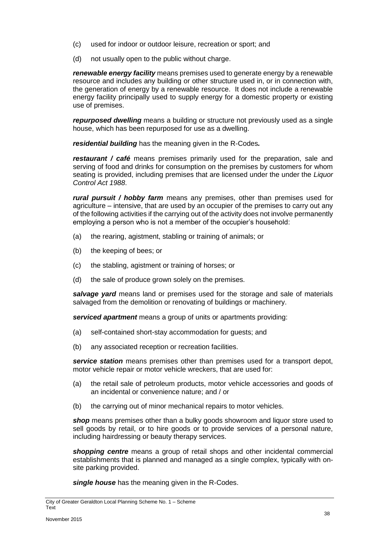- (c) used for indoor or outdoor leisure, recreation or sport; and
- (d) not usually open to the public without charge.

*renewable energy facility* means premises used to generate energy by a renewable resource and includes any building or other structure used in, or in connection with, the generation of energy by a renewable resource. It does not include a renewable energy facility principally used to supply energy for a domestic property or existing use of premises.

*repurposed dwelling* means a building or structure not previously used as a single house, which has been repurposed for use as a dwelling.

*residential building* has the meaning given in the R-Codes*.*

*restaurant / café* means premises primarily used for the preparation, sale and serving of food and drinks for consumption on the premises by customers for whom seating is provided, including premises that are licensed under the under the *Liquor Control Act 1988*.

*rural pursuit / hobby farm* means any premises, other than premises used for agriculture – intensive, that are used by an occupier of the premises to carry out any of the following activities if the carrying out of the activity does not involve permanently employing a person who is not a member of the occupier's household:

- (a) the rearing, agistment, stabling or training of animals; or
- (b) the keeping of bees; or
- (c) the stabling, agistment or training of horses; or
- (d) the sale of produce grown solely on the premises.

*salvage yard* means land or premises used for the storage and sale of materials salvaged from the demolition or renovating of buildings or machinery.

*serviced apartment* means a group of units or apartments providing:

- (a) self-contained short-stay accommodation for guests; and
- (b) any associated reception or recreation facilities.

*service station* means premises other than premises used for a transport depot, motor vehicle repair or motor vehicle wreckers, that are used for:

- (a) the retail sale of petroleum products, motor vehicle accessories and goods of an incidental or convenience nature; and / or
- (b) the carrying out of minor mechanical repairs to motor vehicles.

*shop* means premises other than a bulky goods showroom and liquor store used to sell goods by retail, or to hire goods or to provide services of a personal nature, including hairdressing or beauty therapy services.

*shopping centre* means a group of retail shops and other incidental commercial establishments that is planned and managed as a single complex, typically with onsite parking provided.

*single house* has the meaning given in the R-Codes.

City of Greater Geraldton Local Planning Scheme No. 1 – Scheme Text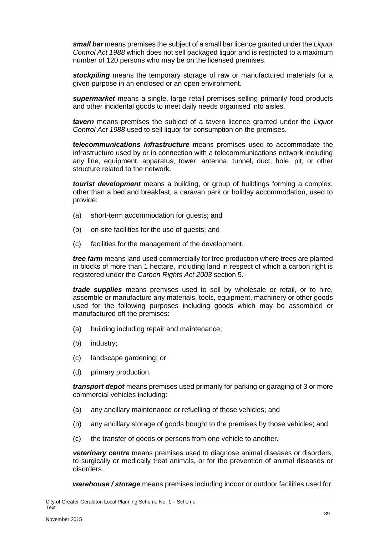*small bar* means premises the subject of a small bar licence granted under the *Liquor Control Act 1988* which does not sell packaged liquor and is restricted to a maximum number of 120 persons who may be on the licensed premises.

*stockpiling* means the temporary storage of raw or manufactured materials for a given purpose in an enclosed or an open environment.

*supermarket* means a single, large retail premises selling primarily food products and other incidental goods to meet daily needs organised into aisles.

*tavern* means premises the subject of a tavern licence granted under the *Liquor Control Act 1988* used to sell liquor for consumption on the premises.

*telecommunications infrastructure* means premises used to accommodate the infrastructure used by or in connection with a telecommunications network including any line, equipment, apparatus, tower, antenna, tunnel, duct, hole, pit, or other structure related to the network.

*tourist development* means a building, or group of buildings forming a complex, other than a bed and breakfast, a caravan park or holiday accommodation, used to provide:

- (a) short-term accommodation for guests; and
- (b) on-site facilities for the use of guests; and
- (c) facilities for the management of the development.

*tree farm* means land used commercially for tree production where trees are planted in blocks of more than 1 hectare, including land in respect of which a carbon right is registered under the *Carbon Rights Act 2003* section 5.

*trade supplies* means premises used to sell by wholesale or retail, or to hire, assemble or manufacture any materials, tools, equipment, machinery or other goods used for the following purposes including goods which may be assembled or manufactured off the premises:

- (a) building including repair and maintenance;
- (b) industry;
- (c) landscape gardening; or
- (d) primary production.

*transport depot* means premises used primarily for parking or garaging of 3 or more commercial vehicles including:

- (a) any ancillary maintenance or refuelling of those vehicles; and
- (b) any ancillary storage of goods bought to the premises by those vehicles; and
- (c) the transfer of goods or persons from one vehicle to another*.*

*veterinary centre* means premises used to diagnose animal diseases or disorders, to surgically or medically treat animals, or for the prevention of animal diseases or disorders.

*warehouse / storage* means premises including indoor or outdoor facilities used for: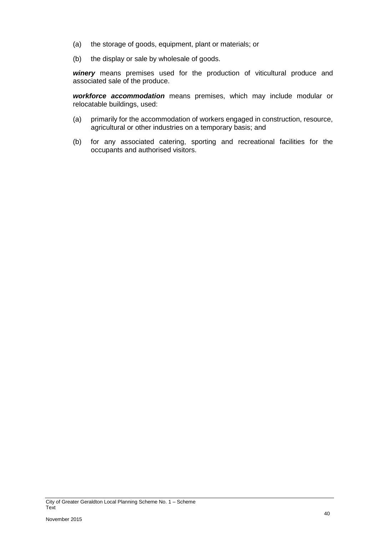- (a) the storage of goods, equipment, plant or materials; or
- (b) the display or sale by wholesale of goods.

*winery* means premises used for the production of viticultural produce and associated sale of the produce.

*workforce accommodation* means premises, which may include modular or relocatable buildings, used:

- (a) primarily for the accommodation of workers engaged in construction, resource, agricultural or other industries on a temporary basis; and
- (b) for any associated catering, sporting and recreational facilities for the occupants and authorised visitors.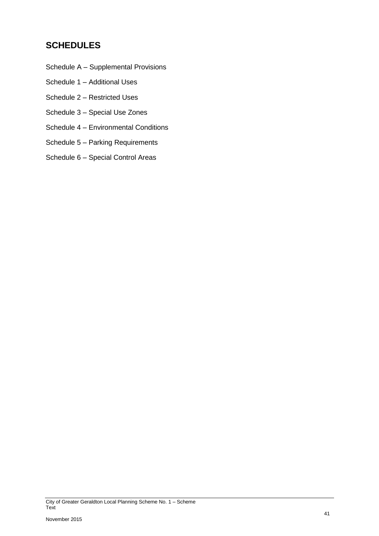# <span id="page-44-0"></span>**SCHEDULES**

- Schedule A Supplemental Provisions
- Schedule 1 Additional Uses
- Schedule 2 Restricted Uses
- Schedule 3 Special Use Zones
- Schedule 4 Environmental Conditions
- Schedule 5 Parking Requirements
- Schedule 6 Special Control Areas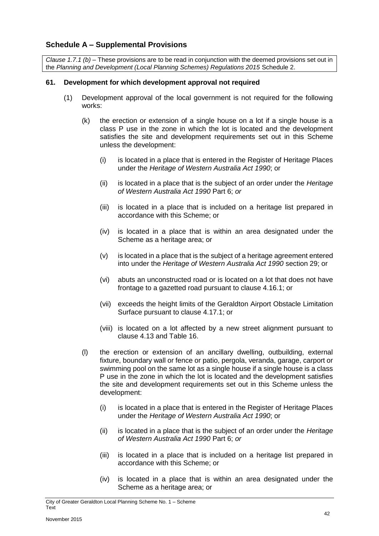# <span id="page-45-0"></span>**Schedule A – Supplemental Provisions**

*Clause 1.7.1 (b) –* These provisions are to be read in conjunction with the deemed provisions set out in the *Planning and Development (Local Planning Schemes) Regulations 2015* Schedule 2.

#### **61. Development for which development approval not required**

- (1) Development approval of the local government is not required for the following works:
	- (k) the erection or extension of a single house on a lot if a single house is a class P use in the zone in which the lot is located and the development satisfies the site and development requirements set out in this Scheme unless the development:
		- (i) is located in a place that is entered in the Register of Heritage Places under the *Heritage of Western Australia Act 1990*; or
		- (ii) is located in a place that is the subject of an order under the *Heritage of Western Australia Act 1990* Part 6; *or*
		- (iii) is located in a place that is included on a heritage list prepared in accordance with this Scheme; or
		- (iv) is located in a place that is within an area designated under the Scheme as a heritage area; or
		- (v) is located in a place that is the subject of a heritage agreement entered into under the *Heritage of Western Australia Act 1990* section 29; or
		- (vi) abuts an unconstructed road or is located on a lot that does not have frontage to a gazetted road pursuant to clause 4.16.1; or
		- (vii) exceeds the height limits of the Geraldton Airport Obstacle Limitation Surface pursuant to clause 4.17.1; or
		- (viii) is located on a lot affected by a new street alignment pursuant to clause 4.13 and Table 16.
	- (l) the erection or extension of an ancillary dwelling, outbuilding, external fixture, boundary wall or fence or patio, pergola, veranda, garage, carport or swimming pool on the same lot as a single house if a single house is a class P use in the zone in which the lot is located and the development satisfies the site and development requirements set out in this Scheme unless the development:
		- (i) is located in a place that is entered in the Register of Heritage Places under the *Heritage of Western Australia Act 1990*; or
		- (ii) is located in a place that is the subject of an order under the *Heritage of Western Australia Act 1990* Part 6; *or*
		- (iii) is located in a place that is included on a heritage list prepared in accordance with this Scheme; or
		- (iv) is located in a place that is within an area designated under the Scheme as a heritage area; or

City of Greater Geraldton Local Planning Scheme No. 1 – Scheme Text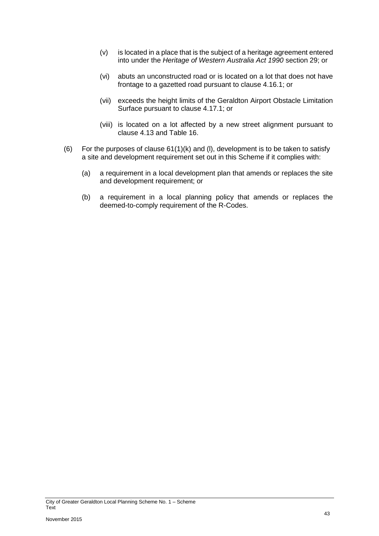- (v) is located in a place that is the subject of a heritage agreement entered into under the *Heritage of Western Australia Act 1990* section 29; or
- (vi) abuts an unconstructed road or is located on a lot that does not have frontage to a gazetted road pursuant to clause 4.16.1; or
- (vii) exceeds the height limits of the Geraldton Airport Obstacle Limitation Surface pursuant to clause 4.17.1; or
- (viii) is located on a lot affected by a new street alignment pursuant to clause 4.13 and Table 16.
- (6) For the purposes of clause  $61(1)(k)$  and (I), development is to be taken to satisfy a site and development requirement set out in this Scheme if it complies with:
	- (a) a requirement in a local development plan that amends or replaces the site and development requirement; or
	- (b) a requirement in a local planning policy that amends or replaces the deemed-to-comply requirement of the R-Codes.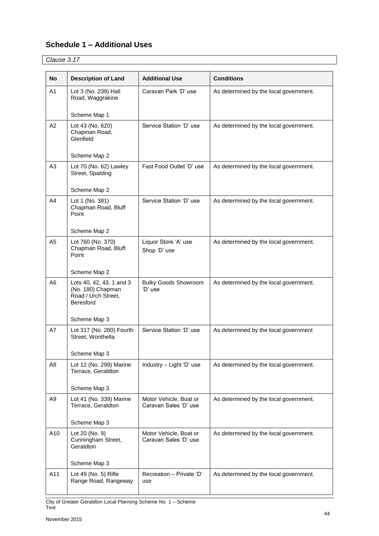# <span id="page-47-0"></span>**Schedule 1 – Additional Uses**

| <b>No</b>      | <b>Description of Land</b>                                                               | <b>Additional Use</b>                           | <b>Conditions</b>                      |
|----------------|------------------------------------------------------------------------------------------|-------------------------------------------------|----------------------------------------|
| A1             | Lot 3 (No. 239) Hall<br>Road, Waggrakine                                                 | Caravan Park 'D' use                            | As determined by the local government. |
|                | Scheme Map 1                                                                             |                                                 |                                        |
| A2             | Lot 43 (No. 620)<br>Chapman Road,<br>Glenfield                                           | Service Station 'D' use                         | As determined by the local government. |
|                | Scheme Map 2                                                                             |                                                 |                                        |
| A <sub>3</sub> | Lot 70 (No. 62) Lawley<br>Street, Spalding                                               | Fast Food Outlet 'D' use                        | As determined by the local government. |
|                | Scheme Map 2                                                                             |                                                 |                                        |
| A <sub>4</sub> | Lot 1 (No. 381)<br>Chapman Road, Bluff<br>Point                                          | Service Station 'D' use                         | As determined by the local government. |
|                | Scheme Map 2                                                                             |                                                 |                                        |
| A <sub>5</sub> | Lot 760 (No. 370)<br>Chapman Road, Bluff<br>Point                                        | Liquor Store 'A' use<br>Shop 'D' use            | As determined by the local government. |
|                | Scheme Map 2                                                                             |                                                 |                                        |
| A <sub>6</sub> | Lots 40, 42, 43, 1 and 3<br>(No. 180) Chapman<br>Road / Urch Street,<br><b>Beresford</b> | <b>Bulky Goods Showroom</b><br>'D' use          | As determined by the local government. |
|                | Scheme Map 3                                                                             |                                                 |                                        |
| A7             | Lot 317 (No. 280) Fourth<br>Street, Wonthella                                            | Service Station 'D' use                         | As determined by the local government  |
|                | Scheme Map 3                                                                             |                                                 |                                        |
| A8             | Lot 12 (No. 299) Marine<br>Terrace, Geraldton                                            | Industry - Light 'D' use                        | As determined by the local government. |
|                | Scheme Map 3                                                                             |                                                 |                                        |
| A9             | Lot 41 (No. 339) Marine<br>Terrace, Geraldton                                            | Motor Vehicle, Boat or<br>Caravan Sales 'D' use | As determined by the local government. |
|                | Scheme Map 3                                                                             |                                                 |                                        |
| A10            | Lot 20 (No. 9)<br>Cunningham Street,<br>Geraldton                                        | Motor Vehicle, Boat or<br>Caravan Sales 'D' use | As determined by the local government. |
|                | Scheme Map 3                                                                             |                                                 |                                        |
| A11            | Lot 49 (No. 5) Rifle<br>Range Road, Rangeway                                             | Recreation - Private 'D'<br>use                 | As determined by the local government. |

City of Greater Geraldton Local Planning Scheme No. 1 – Scheme Text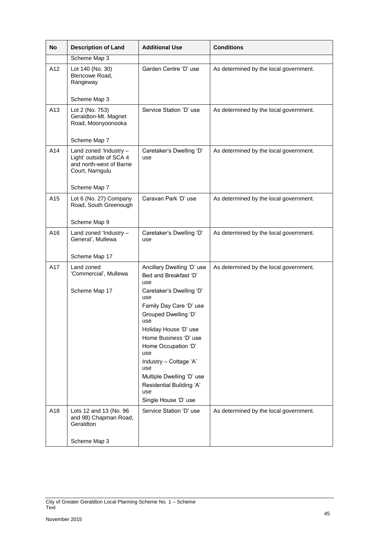| No  | <b>Description of Land</b>                                                                       | <b>Additional Use</b>                                      | <b>Conditions</b>                      |
|-----|--------------------------------------------------------------------------------------------------|------------------------------------------------------------|----------------------------------------|
|     | Scheme Map 3                                                                                     |                                                            |                                        |
| A12 | Lot 140 (No. 30)<br>Blencowe Road,<br>Rangeway                                                   | Garden Centre 'D' use                                      | As determined by the local government. |
|     | Scheme Map 3                                                                                     |                                                            |                                        |
| A13 | Lot 2 (No. 753)<br>Geraldton-Mt. Magnet<br>Road, Moonyoonooka                                    | Service Station 'D' use                                    | As determined by the local government. |
|     | Scheme Map 7                                                                                     |                                                            |                                        |
| A14 | Land zoned 'Industry -<br>Light' outside of SCA 4<br>and north-west of Barrie<br>Court, Narngulu | Caretaker's Dwelling 'D'<br>use                            | As determined by the local government. |
|     | Scheme Map 7                                                                                     |                                                            |                                        |
| A15 | Lot 6 (No. 27) Company<br>Road, South Greenough                                                  | Caravan Park 'D' use                                       | As determined by the local government. |
|     | Scheme Map 9                                                                                     |                                                            |                                        |
| A16 | Land zoned 'Industry -<br>General', Mullewa                                                      | Caretaker's Dwelling 'D'<br>use                            | As determined by the local government. |
|     | Scheme Map 17                                                                                    |                                                            |                                        |
| A17 | Land zoned<br>'Commercial', Mullewa                                                              | Ancillary Dwelling 'D' use<br>Bed and Breakfast 'D'<br>use | As determined by the local government. |
|     | Scheme Map 17                                                                                    | Caretaker's Dwelling 'D'<br>use                            |                                        |
|     |                                                                                                  | Family Day Care 'D' use<br>Grouped Dwelling 'D'<br>use     |                                        |
|     |                                                                                                  | Holiday House 'D' use                                      |                                        |
|     |                                                                                                  | Home Business 'D' use<br>Home Occupation 'D'               |                                        |
|     |                                                                                                  | use                                                        |                                        |
|     |                                                                                                  | Industry - Cottage 'A'<br>use                              |                                        |
|     |                                                                                                  | Multiple Dwelling 'D' use                                  |                                        |
|     |                                                                                                  | Residential Building 'A'<br>use                            |                                        |
|     |                                                                                                  | Single House 'D' use                                       |                                        |
| A18 | Lots 12 and 13 (No. 96<br>and 98) Chapman Road,<br>Geraldton                                     | Service Station 'D' use                                    | As determined by the local government. |
|     | Scheme Map 3                                                                                     |                                                            |                                        |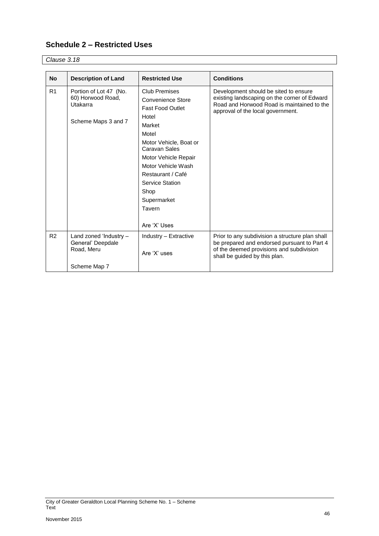# <span id="page-49-0"></span>**Schedule 2 – Restricted Uses**

| <b>No</b>      | <b>Description of Land</b>                                                     | <b>Restricted Use</b>                                                                                                                                                                                                                                                       | <b>Conditions</b>                                                                                                                                                           |
|----------------|--------------------------------------------------------------------------------|-----------------------------------------------------------------------------------------------------------------------------------------------------------------------------------------------------------------------------------------------------------------------------|-----------------------------------------------------------------------------------------------------------------------------------------------------------------------------|
| R <sub>1</sub> | Portion of Lot 47 (No.<br>60) Horwood Road,<br>Utakarra<br>Scheme Maps 3 and 7 | Club Premises<br>Convenience Store<br><b>Fast Food Outlet</b><br>Hotel<br>Market<br>Motel<br>Motor Vehicle, Boat or<br>Caravan Sales<br>Motor Vehicle Repair<br>Motor Vehicle Wash<br>Restaurant / Café<br>Service Station<br>Shop<br>Supermarket<br>Tavern<br>Are 'X' Uses | Development should be sited to ensure<br>existing landscaping on the corner of Edward<br>Road and Horwood Road is maintained to the<br>approval of the local government.    |
| R <sub>2</sub> | Land zoned 'Industry -<br>General' Deepdale<br>Road, Meru<br>Scheme Map 7      | Industry - Extractive<br>Are 'X' uses                                                                                                                                                                                                                                       | Prior to any subdivision a structure plan shall<br>be prepared and endorsed pursuant to Part 4<br>of the deemed provisions and subdivision<br>shall be guided by this plan. |

*Clause 3.18*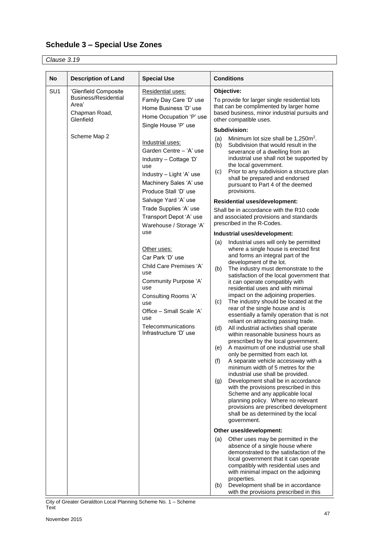# <span id="page-50-0"></span>**Schedule 3 – Special Use Zones**

*Clause 3.19*

| <b>No</b>       | <b>Description of Land</b>                                                          | <b>Special Use</b>                                                                                                                                                                                                                                                                                                                                                                                                                                                                                 | <b>Conditions</b>                                                                                                                                                                                                                                                                                                                                                                                                                                                                                                                                                                                                                                                                                                                                                                                                                                                                                                                                                                                                                                                                                                                                                                                                                                                                                                                                                                                                                                                                                                                                                                                                                                                                                                                                                                                                                                                                                                                                                                                                                                                                                                      |
|-----------------|-------------------------------------------------------------------------------------|----------------------------------------------------------------------------------------------------------------------------------------------------------------------------------------------------------------------------------------------------------------------------------------------------------------------------------------------------------------------------------------------------------------------------------------------------------------------------------------------------|------------------------------------------------------------------------------------------------------------------------------------------------------------------------------------------------------------------------------------------------------------------------------------------------------------------------------------------------------------------------------------------------------------------------------------------------------------------------------------------------------------------------------------------------------------------------------------------------------------------------------------------------------------------------------------------------------------------------------------------------------------------------------------------------------------------------------------------------------------------------------------------------------------------------------------------------------------------------------------------------------------------------------------------------------------------------------------------------------------------------------------------------------------------------------------------------------------------------------------------------------------------------------------------------------------------------------------------------------------------------------------------------------------------------------------------------------------------------------------------------------------------------------------------------------------------------------------------------------------------------------------------------------------------------------------------------------------------------------------------------------------------------------------------------------------------------------------------------------------------------------------------------------------------------------------------------------------------------------------------------------------------------------------------------------------------------------------------------------------------------|
| SU <sub>1</sub> | 'Glenfield Composite<br>Business/Residential<br>Area'<br>Chapman Road,<br>Glenfield | Residential uses:<br>Family Day Care 'D' use<br>Home Business 'D' use<br>Home Occupation 'P' use<br>Single House 'P' use                                                                                                                                                                                                                                                                                                                                                                           | Objective:<br>To provide for larger single residential lots<br>that can be complimented by larger home<br>based business, minor industrial pursuits and<br>other compatible uses.                                                                                                                                                                                                                                                                                                                                                                                                                                                                                                                                                                                                                                                                                                                                                                                                                                                                                                                                                                                                                                                                                                                                                                                                                                                                                                                                                                                                                                                                                                                                                                                                                                                                                                                                                                                                                                                                                                                                      |
|                 | Scheme Map 2                                                                        | Industrial uses:<br>Garden Centre - 'A' use<br>Industry - Cottage 'D'<br>use<br>Industry - Light 'A' use<br>Machinery Sales 'A' use<br>Produce Stall 'D' use<br>Salvage Yard 'A' use<br>Trade Supplies 'A' use<br>Transport Depot 'A' use<br>Warehouse / Storage 'A'<br>use<br>Other uses:<br>Car Park 'D' use<br>Child Care Premises 'A'<br>use<br>Community Purpose 'A'<br>use<br>Consulting Rooms 'A'<br>use<br>Office - Small Scale 'A'<br>use<br>Telecommunications<br>Infrastructure 'D' use | <b>Subdivision:</b><br>Minimum lot size shall be 1,250m <sup>2</sup> .<br>(a)<br>Subdivision that would result in the<br>(b)<br>severance of a dwelling from an<br>industrial use shall not be supported by<br>the local government.<br>Prior to any subdivision a structure plan<br>(c)<br>shall be prepared and endorsed<br>pursuant to Part 4 of the deemed<br>provisions.<br><b>Residential uses/development:</b><br>Shall be in accordance with the R10 code<br>and associated provisions and standards<br>prescribed in the R-Codes.<br>Industrial uses/development:<br>Industrial uses will only be permitted<br>(a)<br>where a single house is erected first<br>and forms an integral part of the<br>development of the lot.<br>The industry must demonstrate to the<br>(b)<br>satisfaction of the local government that<br>it can operate compatibly with<br>residential uses and with minimal<br>impact on the adjoining properties.<br>(c)<br>The industry should be located at the<br>rear of the single house and is<br>essentially a family operation that is not<br>reliant on attracting passing trade.<br>All industrial activities shall operate<br>(d)<br>within reasonable business hours as<br>prescribed by the local government.<br>A maximum of one industrial use shall<br>(e)<br>only be permitted from each lot.<br>(f)<br>A separate vehicle accessway with a<br>minimum width of 5 metres for the<br>industrial use shall be provided.<br>Development shall be in accordance<br>(g)<br>with the provisions prescribed in this<br>Scheme and any applicable local<br>planning policy. Where no relevant<br>provisions are prescribed development<br>shall be as determined by the local<br>government.<br>Other uses/development:<br>Other uses may be permitted in the<br>(a)<br>absence of a single house where<br>demonstrated to the satisfaction of the<br>local government that it can operate<br>compatibly with residential uses and<br>with minimal impact on the adjoining<br>properties.<br>Development shall be in accordance<br>(b)<br>with the provisions prescribed in this |

City of Greater Geraldton Local Planning Scheme No. 1 – Scheme Text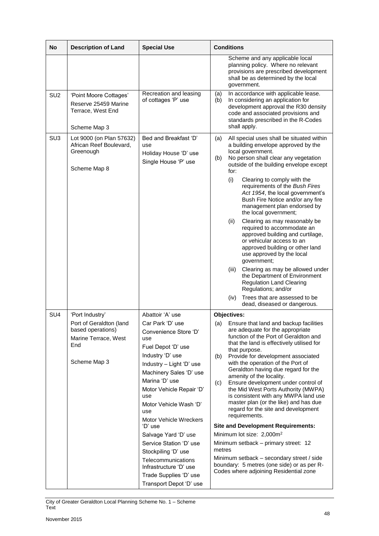| <b>No</b>       | <b>Description of Land</b>                                                                                     | <b>Special Use</b>                                                                                                                                                                                                                                                                                                                                                                                                                                                              | <b>Conditions</b>                                                                                                                                                                                                                                                                                                                                                                                                                                                                                                                                                                                                                                                                                                                                                                                                                                                    |
|-----------------|----------------------------------------------------------------------------------------------------------------|---------------------------------------------------------------------------------------------------------------------------------------------------------------------------------------------------------------------------------------------------------------------------------------------------------------------------------------------------------------------------------------------------------------------------------------------------------------------------------|----------------------------------------------------------------------------------------------------------------------------------------------------------------------------------------------------------------------------------------------------------------------------------------------------------------------------------------------------------------------------------------------------------------------------------------------------------------------------------------------------------------------------------------------------------------------------------------------------------------------------------------------------------------------------------------------------------------------------------------------------------------------------------------------------------------------------------------------------------------------|
|                 |                                                                                                                |                                                                                                                                                                                                                                                                                                                                                                                                                                                                                 | Scheme and any applicable local<br>planning policy. Where no relevant<br>provisions are prescribed development<br>shall be as determined by the local<br>government.                                                                                                                                                                                                                                                                                                                                                                                                                                                                                                                                                                                                                                                                                                 |
| SU <sub>2</sub> | 'Point Moore Cottages'<br>Reserve 25459 Marine<br>Terrace, West End<br>Scheme Map 3                            | Recreation and leasing<br>of cottages 'P' use                                                                                                                                                                                                                                                                                                                                                                                                                                   | In accordance with applicable lease.<br>(a)<br>In considering an application for<br>(b)<br>development approval the R30 density<br>code and associated provisions and<br>standards prescribed in the R-Codes<br>shall apply.                                                                                                                                                                                                                                                                                                                                                                                                                                                                                                                                                                                                                                         |
| SU <sub>3</sub> | Lot 9000 (on Plan 57632)<br>African Reef Boulevard,<br>Greenough<br>Scheme Map 8                               | Bed and Breakfast 'D'<br>use<br>Holiday House 'D' use<br>Single House 'P' use                                                                                                                                                                                                                                                                                                                                                                                                   | All special uses shall be situated within<br>(a)<br>a building envelope approved by the<br>local government.<br>No person shall clear any vegetation<br>(b)<br>outside of the building envelope except<br>for:<br>(i)<br>Clearing to comply with the<br>requirements of the Bush Fires<br>Act 1954, the local government's<br>Bush Fire Notice and/or any fire<br>management plan endorsed by<br>the local government;<br>Clearing as may reasonably be<br>(ii)<br>required to accommodate an<br>approved building and curtilage,<br>or vehicular access to an<br>approved building or other land<br>use approved by the local<br>government;<br>Clearing as may be allowed under<br>(iii)<br>the Department of Environment<br><b>Regulation Land Clearing</b><br>Regulations; and/or<br>Trees that are assessed to be<br>(iv)<br>dead, diseased or dangerous.       |
| SU <sub>4</sub> | 'Port Industry'<br>Port of Geraldton (land<br>based operations)<br>Marine Terrace, West<br>End<br>Scheme Map 3 | Abattoir 'A' use<br>Car Park 'D' use<br>Convenience Store 'D'<br>use<br>Fuel Depot 'D' use<br>Industry 'D' use<br>Industry - Light 'D' use<br>Machinery Sales 'D' use<br>Marina 'D' use<br>Motor Vehicle Repair 'D'<br>use<br>Motor Vehicle Wash 'D'<br>use<br>Motor Vehicle Wreckers<br>'D' use<br>Salvage Yard 'D' use<br>Service Station 'D' use<br>Stockpiling 'D' use<br>Telecommunications<br>Infrastructure 'D' use<br>Trade Supplies 'D' use<br>Transport Depot 'D' use | Objectives:<br>(a) Ensure that land and backup facilities<br>are adequate for the appropriate<br>function of the Port of Geraldton and<br>that the land is effectively utilised for<br>that purpose.<br>Provide for development associated<br>(b)<br>with the operation of the Port of<br>Geraldton having due regard for the<br>amenity of the locality.<br>Ensure development under control of<br>(c)<br>the Mid West Ports Authority (MWPA)<br>is consistent with any MWPA land use<br>master plan (or the like) and has due<br>regard for the site and development<br>requirements.<br><b>Site and Development Requirements:</b><br>Minimum lot size: 2,000m <sup>2</sup><br>Minimum setback - primary street: 12<br>metres<br>Minimum setback - secondary street / side<br>boundary: 5 metres (one side) or as per R-<br>Codes where adjoining Residential zone |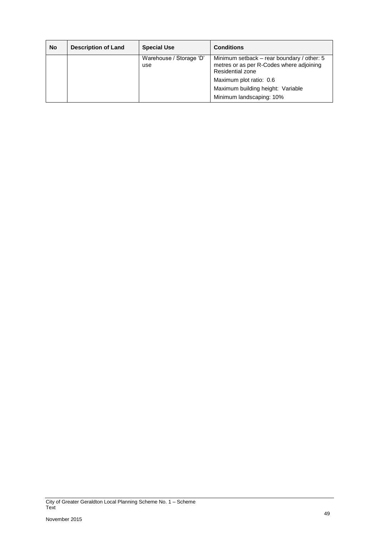| <b>No</b> | <b>Description of Land</b> | <b>Special Use</b>             | <b>Conditions</b>                                                                                          |
|-----------|----------------------------|--------------------------------|------------------------------------------------------------------------------------------------------------|
|           |                            | Warehouse / Storage 'D'<br>use | Minimum setback – rear boundary / other: 5<br>metres or as per R-Codes where adjoining<br>Residential zone |
|           |                            |                                | Maximum plot ratio: 0.6                                                                                    |
|           |                            |                                | Maximum building height: Variable                                                                          |
|           |                            |                                | Minimum landscaping: 10%                                                                                   |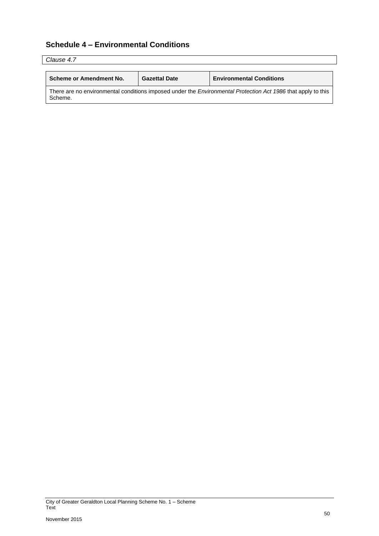# <span id="page-53-0"></span>**Schedule 4 – Environmental Conditions**

| Clause 4.7                                                                                                                     |                      |                                 |  |  |
|--------------------------------------------------------------------------------------------------------------------------------|----------------------|---------------------------------|--|--|
|                                                                                                                                |                      |                                 |  |  |
| <b>Scheme or Amendment No.</b>                                                                                                 | <b>Gazettal Date</b> | <b>Environmental Conditions</b> |  |  |
| There are no environmental conditions imposed under the <i>Environmental Protection Act 1986</i> that apply to this<br>Scheme. |                      |                                 |  |  |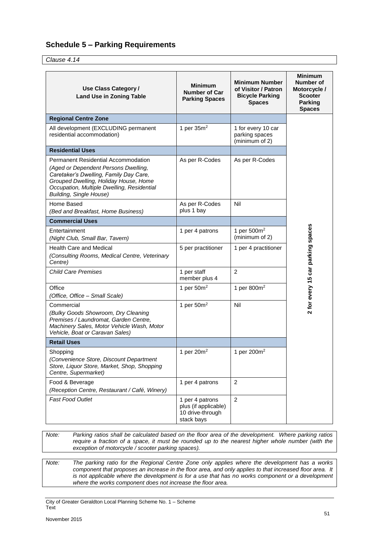# <span id="page-54-0"></span>**Schedule 5 – Parking Requirements**

*Clause 4.14*

| <b>Use Class Category /</b><br><b>Land Use in Zoning Table</b>                                                                                                                                                                                        | <b>Minimum</b><br><b>Number of Car</b><br><b>Parking Spaces</b>           | <b>Minimum Number</b><br>of Visitor / Patron<br><b>Bicycle Parking</b><br><b>Spaces</b> | <b>Minimum</b><br>Number of<br>Motorcycle /<br><b>Scooter</b><br><b>Parking</b><br><b>Spaces</b> |
|-------------------------------------------------------------------------------------------------------------------------------------------------------------------------------------------------------------------------------------------------------|---------------------------------------------------------------------------|-----------------------------------------------------------------------------------------|--------------------------------------------------------------------------------------------------|
| <b>Regional Centre Zone</b>                                                                                                                                                                                                                           |                                                                           |                                                                                         |                                                                                                  |
| All development (EXCLUDING permanent<br>residential accommodation)                                                                                                                                                                                    | 1 per $35m2$                                                              | 1 for every 10 car<br>parking spaces<br>(minimum of 2)                                  |                                                                                                  |
| <b>Residential Uses</b>                                                                                                                                                                                                                               |                                                                           |                                                                                         |                                                                                                  |
| <b>Permanent Residential Accommodation</b><br>(Aged or Dependent Persons Dwelling,<br>Caretaker's Dwelling, Family Day Care,<br>Grouped Dwelling, Holiday House, Home<br>Occupation, Multiple Dwelling, Residential<br><b>Building, Single House)</b> | As per R-Codes                                                            | As per R-Codes                                                                          |                                                                                                  |
| Home Based<br>(Bed and Breakfast, Home Business)                                                                                                                                                                                                      | As per R-Codes<br>plus 1 bay                                              | Nil                                                                                     |                                                                                                  |
| <b>Commercial Uses</b>                                                                                                                                                                                                                                |                                                                           |                                                                                         |                                                                                                  |
| Entertainment<br>(Night Club, Small Bar, Tavern)                                                                                                                                                                                                      | 1 per 4 patrons                                                           | 1 per 500m <sup>2</sup><br>(minimum of 2)                                               |                                                                                                  |
| <b>Health Care and Medical</b><br>(Consulting Rooms, Medical Centre, Veterinary<br>Centre)                                                                                                                                                            | 5 per practitioner                                                        | 1 per 4 practitioner                                                                    | 2 for every 15 car parking spaces                                                                |
| <b>Child Care Premises</b>                                                                                                                                                                                                                            | 1 per staff<br>member plus 4                                              | $\overline{2}$                                                                          |                                                                                                  |
| Office<br>(Office, Office - Small Scale)                                                                                                                                                                                                              | 1 per $50m^2$                                                             | 1 per 800m <sup>2</sup>                                                                 |                                                                                                  |
| Commercial<br>(Bulky Goods Showroom, Dry Cleaning<br>Premises / Laundromat, Garden Centre,<br>Machinery Sales, Motor Vehicle Wash, Motor<br>Vehicle, Boat or Caravan Sales)                                                                           | 1 per $50m^2$                                                             | Nil                                                                                     |                                                                                                  |
| <b>Retail Uses</b>                                                                                                                                                                                                                                    |                                                                           |                                                                                         |                                                                                                  |
| Shopping<br>(Convenience Store, Discount Department<br>Store, Liquor Store, Market, Shop, Shopping<br>Centre, Supermarket)                                                                                                                            | 1 per $20m^2$                                                             | 1 per 200m <sup>2</sup>                                                                 |                                                                                                  |
| Food & Beverage<br>(Reception Centre, Restaurant / Café, Winery)                                                                                                                                                                                      | 1 per 4 patrons                                                           | 2                                                                                       |                                                                                                  |
| <b>Fast Food Outlet</b>                                                                                                                                                                                                                               | 1 per 4 patrons<br>plus (if applicable)<br>10 drive-through<br>stack bays | $\overline{2}$                                                                          |                                                                                                  |

#### *Note: Parking ratios shall be calculated based on the floor area of the development. Where parking ratios require a fraction of a space, it must be rounded up to the nearest higher whole number (with the exception of motorcycle / scooter parking spaces).*

*Note: The parking ratio for the Regional Centre Zone only applies where the development has a works component that proposes an increase in the floor area, and only applies to that increased floor area. It is not applicable where the development is for a use that has no works component or a development where the works component does not increase the floor area.*

City of Greater Geraldton Local Planning Scheme No. 1 – Scheme Text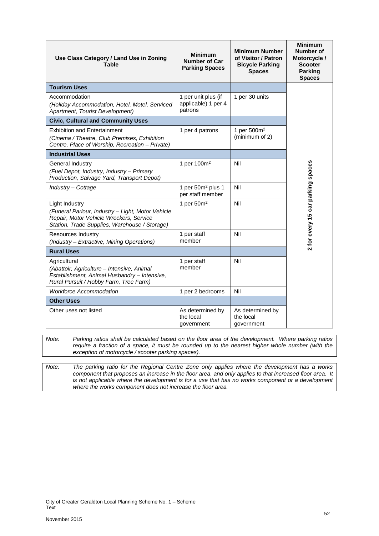| Use Class Category / Land Use in Zoning<br>Table                                                                                                                | <b>Minimum</b><br>Number of Car<br><b>Parking Spaces</b> | <b>Minimum Number</b><br>of Visitor / Patron<br><b>Bicycle Parking</b><br><b>Spaces</b> | <b>Minimum</b><br>Number of<br>Motorcycle /<br><b>Scooter</b><br>Parking<br><b>Spaces</b> |
|-----------------------------------------------------------------------------------------------------------------------------------------------------------------|----------------------------------------------------------|-----------------------------------------------------------------------------------------|-------------------------------------------------------------------------------------------|
| <b>Tourism Uses</b>                                                                                                                                             |                                                          |                                                                                         |                                                                                           |
| Accommodation<br>(Holiday Accommodation, Hotel, Motel, Serviced<br>Apartment, Tourist Development)                                                              | 1 per unit plus (if<br>applicable) 1 per 4<br>patrons    | 1 per 30 units                                                                          |                                                                                           |
| <b>Civic, Cultural and Community Uses</b>                                                                                                                       |                                                          |                                                                                         |                                                                                           |
| <b>Exhibition and Entertainment</b><br>(Cinema / Theatre, Club Premises, Exhibition<br>Centre, Place of Worship, Recreation - Private)                          | 1 per 4 patrons                                          | 1 per $500m^2$<br>(minimum of 2)                                                        |                                                                                           |
| <b>Industrial Uses</b>                                                                                                                                          |                                                          |                                                                                         |                                                                                           |
| General Industry<br>(Fuel Depot, Industry, Industry - Primary<br>Production, Salvage Yard, Transport Depot)                                                     | 1 per $100m^2$                                           | Nil                                                                                     |                                                                                           |
| Industry - Cottage                                                                                                                                              | 1 per 50m <sup>2</sup> plus 1<br>per staff member        | Nil                                                                                     |                                                                                           |
| Light Industry<br>(Funeral Parlour, Industry - Light, Motor Vehicle<br>Repair, Motor Vehicle Wreckers, Service<br>Station, Trade Supplies, Warehouse / Storage) | 1 per $50m^2$                                            | Nil                                                                                     | 2 for every 15 car parking spaces                                                         |
| Resources Industry<br>(Industry - Extractive, Mining Operations)                                                                                                | 1 per staff<br>member                                    | Nil                                                                                     |                                                                                           |
| <b>Rural Uses</b>                                                                                                                                               |                                                          |                                                                                         |                                                                                           |
| Agricultural<br>(Abattoir, Agriculture - Intensive, Animal<br>Establishment, Animal Husbandry - Intensive,<br>Rural Pursuit / Hobby Farm, Tree Farm)            | 1 per staff<br>member                                    | Nil                                                                                     |                                                                                           |
| <b>Workforce Accommodation</b>                                                                                                                                  | 1 per 2 bedrooms                                         | Nil                                                                                     |                                                                                           |
| <b>Other Uses</b>                                                                                                                                               |                                                          |                                                                                         |                                                                                           |
| Other uses not listed                                                                                                                                           | As determined by<br>the local<br>government              | As determined by<br>the local<br>government                                             |                                                                                           |

*Note: Parking ratios shall be calculated based on the floor area of the development. Where parking ratios*  require a fraction of a space, it must be rounded up to the nearest higher whole number (with the *exception of motorcycle / scooter parking spaces).*

*Note: The parking ratio for the Regional Centre Zone only applies where the development has a works component that proposes an increase in the floor area, and only applies to that increased floor area. It is not applicable where the development is for a use that has no works component or a development where the works component does not increase the floor area.*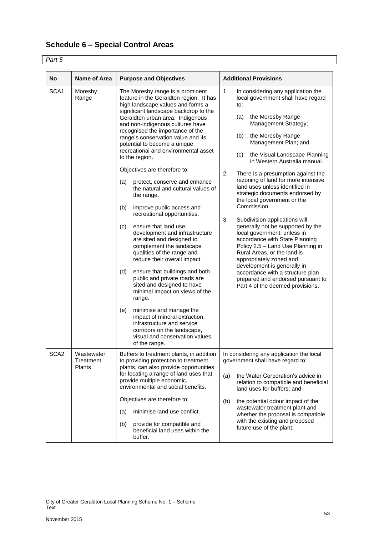# <span id="page-56-0"></span>**Schedule 6 – Special Control Areas**

#### *Part 5*

| No               | Name of Area                      | <b>Purpose and Objectives</b>                                                                                                                                                                                                                                                                                                                                                                                                                                                                                                                                                                                                                                                                                                                                                                                                                                                                                                                                                                                                                                                                                                       | <b>Additional Provisions</b>                                                                                                                                                                                                                                                                                                                                                                                                                                                                                                                                                                                                                                                                                                                                                                                                                                        |
|------------------|-----------------------------------|-------------------------------------------------------------------------------------------------------------------------------------------------------------------------------------------------------------------------------------------------------------------------------------------------------------------------------------------------------------------------------------------------------------------------------------------------------------------------------------------------------------------------------------------------------------------------------------------------------------------------------------------------------------------------------------------------------------------------------------------------------------------------------------------------------------------------------------------------------------------------------------------------------------------------------------------------------------------------------------------------------------------------------------------------------------------------------------------------------------------------------------|---------------------------------------------------------------------------------------------------------------------------------------------------------------------------------------------------------------------------------------------------------------------------------------------------------------------------------------------------------------------------------------------------------------------------------------------------------------------------------------------------------------------------------------------------------------------------------------------------------------------------------------------------------------------------------------------------------------------------------------------------------------------------------------------------------------------------------------------------------------------|
|                  |                                   |                                                                                                                                                                                                                                                                                                                                                                                                                                                                                                                                                                                                                                                                                                                                                                                                                                                                                                                                                                                                                                                                                                                                     |                                                                                                                                                                                                                                                                                                                                                                                                                                                                                                                                                                                                                                                                                                                                                                                                                                                                     |
| SCA1             | Moresby<br>Range                  | The Moresby range is a prominent<br>feature in the Geraldton region. It has<br>high landscape values and forms a<br>significant landscape backdrop to the<br>Geraldton urban area. Indigenous<br>and non-indigenous cultures have<br>recognised the importance of the<br>range's conservation value and its<br>potential to become a unique<br>recreational and environmental asset<br>to the region.<br>Objectives are therefore to:<br>protect, conserve and enhance<br>(a)<br>the natural and cultural values of<br>the range.<br>improve public access and<br>(b)<br>recreational opportunities.<br>(c)<br>ensure that land use,<br>development and infrastructure<br>are sited and designed to<br>complement the landscape<br>qualities of the range and<br>reduce their overall impact.<br>ensure that buildings and both<br>(d)<br>public and private roads are<br>sited and designed to have<br>minimal impact on views of the<br>range.<br>(e)<br>minimise and manage the<br>impact of mineral extraction,<br>infrastructure and service<br>corridors on the landscape,<br>visual and conservation values<br>of the range. | 1.<br>In considering any application the<br>local government shall have regard<br>to:<br>the Moresby Range<br>(a)<br>Management Strategy;<br>the Moresby Range<br>(b)<br>Management Plan; and<br>the Visual Landscape Planning<br>(c)<br>in Western Australia manual.<br>2.<br>There is a presumption against the<br>rezoning of land for more intensive<br>land uses unless identified in<br>strategic documents endorsed by<br>the local government or the<br>Commission.<br>3.<br>Subdivision applications will<br>generally not be supported by the<br>local government, unless in<br>accordance with State Planning<br>Policy 2.5 - Land Use Planning in<br>Rural Areas, or the land is<br>appropriately zoned and<br>development is generally in<br>accordance with a structure plan<br>prepared and endorsed pursuant to<br>Part 4 of the deemed provisions. |
| SCA <sub>2</sub> | Wastewater<br>Treatment<br>Plants | Buffers to treatment plants, in addition<br>to providing protection to treatment<br>plants, can also provide opportunities<br>for locating a range of land uses that<br>provide multiple economic,<br>environmental and social benefits.<br>Objectives are therefore to:<br>minimise land use conflict.<br>(a)<br>provide for compatible and<br>(b)                                                                                                                                                                                                                                                                                                                                                                                                                                                                                                                                                                                                                                                                                                                                                                                 | In considering any application the local<br>government shall have regard to:<br>the Water Corporation's advice in<br>(a)<br>relation to compatible and beneficial<br>land uses for buffers; and<br>(b)<br>the potential odour impact of the<br>wastewater treatment plant and<br>whether the proposal is compatible<br>with the existing and proposed                                                                                                                                                                                                                                                                                                                                                                                                                                                                                                               |
|                  |                                   | beneficial land uses within the<br>buffer.                                                                                                                                                                                                                                                                                                                                                                                                                                                                                                                                                                                                                                                                                                                                                                                                                                                                                                                                                                                                                                                                                          | future use of the plant.                                                                                                                                                                                                                                                                                                                                                                                                                                                                                                                                                                                                                                                                                                                                                                                                                                            |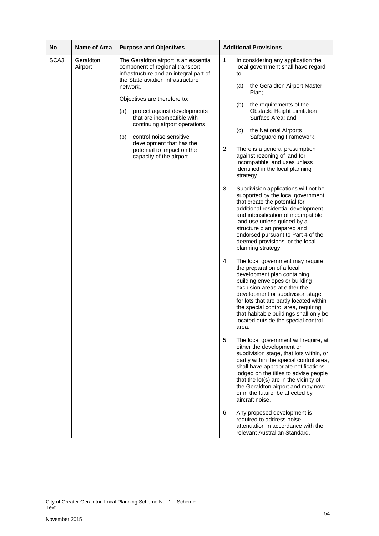| Name of Area<br>No           | <b>Purpose and Objectives</b>                          |                                                                                                                                                                                                                                                                                                                                                                          | <b>Additional Provisions</b>                                                                                                                                                                                                                                                                                                                                                                                                                                                                                                                                                                                                                                                                                                                                                                                                                                                                                                                                                                                                                                                                                                                                                                                                                                                                                                                                                                                                                                                                                                                                                                                                                                                                                                                      |  |
|------------------------------|--------------------------------------------------------|--------------------------------------------------------------------------------------------------------------------------------------------------------------------------------------------------------------------------------------------------------------------------------------------------------------------------------------------------------------------------|---------------------------------------------------------------------------------------------------------------------------------------------------------------------------------------------------------------------------------------------------------------------------------------------------------------------------------------------------------------------------------------------------------------------------------------------------------------------------------------------------------------------------------------------------------------------------------------------------------------------------------------------------------------------------------------------------------------------------------------------------------------------------------------------------------------------------------------------------------------------------------------------------------------------------------------------------------------------------------------------------------------------------------------------------------------------------------------------------------------------------------------------------------------------------------------------------------------------------------------------------------------------------------------------------------------------------------------------------------------------------------------------------------------------------------------------------------------------------------------------------------------------------------------------------------------------------------------------------------------------------------------------------------------------------------------------------------------------------------------------------|--|
| SCA3<br>Geraldton<br>Airport | network.<br>Objectives are therefore to:<br>(a)<br>(b) | The Geraldton airport is an essential<br>component of regional transport<br>infrastructure and an integral part of<br>the State aviation infrastructure<br>protect against developments<br>that are incompatible with<br>continuing airport operations.<br>control noise sensitive<br>development that has the<br>potential to impact on the<br>capacity of the airport. | 1.<br>In considering any application the<br>local government shall have regard<br>to:<br>(a)<br>the Geraldton Airport Master<br>Plan;<br>(b)<br>the requirements of the<br><b>Obstacle Height Limitation</b><br>Surface Area; and<br>the National Airports<br>(c)<br>Safeguarding Framework.<br>2.<br>There is a general presumption<br>against rezoning of land for<br>incompatible land uses unless<br>identified in the local planning<br>strategy.<br>3.<br>Subdivision applications will not be<br>supported by the local government<br>that create the potential for<br>additional residential development<br>and intensification of incompatible<br>land use unless guided by a<br>structure plan prepared and<br>endorsed pursuant to Part 4 of the<br>deemed provisions, or the local<br>planning strategy.<br>4.<br>The local government may require<br>the preparation of a local<br>development plan containing<br>building envelopes or building<br>exclusion areas at either the<br>development or subdivision stage<br>for lots that are partly located within<br>the special control area, requiring<br>that habitable buildings shall only be<br>located outside the special control<br>area.<br>5.<br>The local government will require, at<br>either the development or<br>subdivision stage, that lots within, or<br>partly within the special control area,<br>shall have appropriate notifications<br>lodged on the titles to advise people<br>that the lot(s) are in the vicinity of<br>the Geraldton airport and may now,<br>or in the future, be affected by<br>aircraft noise.<br>Any proposed development is<br>6.<br>required to address noise<br>attenuation in accordance with the<br>relevant Australian Standard. |  |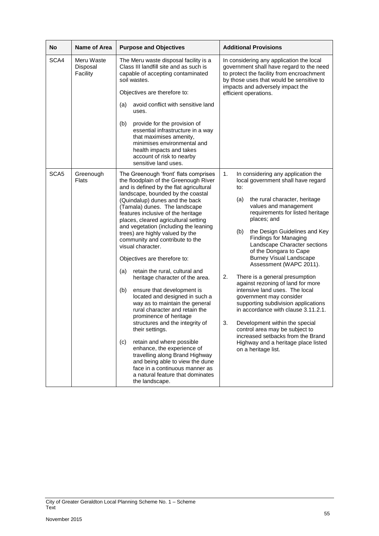| <b>No</b>        | <b>Name of Area</b>                | <b>Purpose and Objectives</b>                                                                                                                                                                                               | <b>Additional Provisions</b>                                                                                                                                                                                                               |  |
|------------------|------------------------------------|-----------------------------------------------------------------------------------------------------------------------------------------------------------------------------------------------------------------------------|--------------------------------------------------------------------------------------------------------------------------------------------------------------------------------------------------------------------------------------------|--|
| SCA4             | Meru Waste<br>Disposal<br>Facility | The Meru waste disposal facility is a<br>Class III landfill site and as such is<br>capable of accepting contaminated<br>soil wastes.<br>Objectives are therefore to:                                                        | In considering any application the local<br>government shall have regard to the need<br>to protect the facility from encroachment<br>by those uses that would be sensitive to<br>impacts and adversely impact the<br>efficient operations. |  |
|                  |                                    | avoid conflict with sensitive land<br>(a)<br>uses.<br>(b)<br>provide for the provision of                                                                                                                                   |                                                                                                                                                                                                                                            |  |
|                  |                                    | essential infrastructure in a way<br>that maximises amenity,<br>minimises environmental and<br>health impacts and takes<br>account of risk to nearby<br>sensitive land uses.                                                |                                                                                                                                                                                                                                            |  |
| SCA <sub>5</sub> | Greenough<br>Flats                 | The Greenough 'front' flats comprises<br>the floodplain of the Greenough River<br>and is defined by the flat agricultural<br>landscape, bounded by the coastal                                                              | 1.<br>In considering any application the<br>local government shall have regard<br>to:                                                                                                                                                      |  |
|                  |                                    | (Quindalup) dunes and the back<br>(Tamala) dunes. The landscape<br>features inclusive of the heritage<br>places, cleared agricultural setting<br>and vegetation (including the leaning                                      | the rural character, heritage<br>(a)<br>values and management<br>requirements for listed heritage<br>places; and                                                                                                                           |  |
|                  |                                    | trees) are highly valued by the<br>community and contribute to the<br>visual character.                                                                                                                                     | the Design Guidelines and Key<br>(b)<br><b>Findings for Managing</b><br>Landscape Character sections<br>of the Dongara to Cape                                                                                                             |  |
|                  |                                    | Objectives are therefore to:                                                                                                                                                                                                | <b>Burney Visual Landscape</b><br>Assessment (WAPC 2011).                                                                                                                                                                                  |  |
|                  |                                    | retain the rural, cultural and<br>(a)<br>heritage character of the area.                                                                                                                                                    | 2.<br>There is a general presumption<br>against rezoning of land for more                                                                                                                                                                  |  |
|                  |                                    | ensure that development is<br>(b)<br>located and designed in such a<br>way as to maintain the general<br>rural character and retain the<br>prominence of heritage                                                           | intensive land uses. The local<br>government may consider<br>supporting subdivision applications<br>in accordance with clause 3.11.2.1.                                                                                                    |  |
|                  |                                    | structures and the integrity of<br>their settings.                                                                                                                                                                          | 3.<br>Development within the special<br>control area may be subject to<br>increased setbacks from the Brand                                                                                                                                |  |
|                  |                                    | retain and where possible<br>(c)<br>enhance, the experience of<br>travelling along Brand Highway<br>and being able to view the dune<br>face in a continuous manner as<br>a natural feature that dominates<br>the landscape. | Highway and a heritage place listed<br>on a heritage list.                                                                                                                                                                                 |  |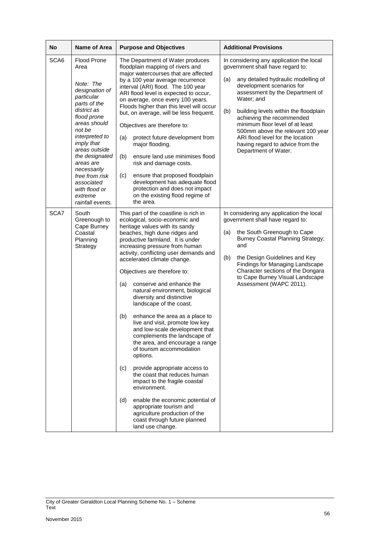| No   | <b>Name of Area</b>                                                                                                                                                                                                                                                                                                            | <b>Purpose and Objectives</b>                                                                                                                                                                                                                                                                                                                                                                                                                                                                                                                                                                                                                                                                                                                                                                                                                                                                                                                                        | <b>Additional Provisions</b>                                                                                                                                                                                                                                                                                                                                                                                                                                  |
|------|--------------------------------------------------------------------------------------------------------------------------------------------------------------------------------------------------------------------------------------------------------------------------------------------------------------------------------|----------------------------------------------------------------------------------------------------------------------------------------------------------------------------------------------------------------------------------------------------------------------------------------------------------------------------------------------------------------------------------------------------------------------------------------------------------------------------------------------------------------------------------------------------------------------------------------------------------------------------------------------------------------------------------------------------------------------------------------------------------------------------------------------------------------------------------------------------------------------------------------------------------------------------------------------------------------------|---------------------------------------------------------------------------------------------------------------------------------------------------------------------------------------------------------------------------------------------------------------------------------------------------------------------------------------------------------------------------------------------------------------------------------------------------------------|
| SCA6 | Flood Prone<br>Area<br>Note: The<br>designation of<br>particular<br>parts of the<br>district as<br>flood prone<br>areas should<br>not be<br>interpreted to<br><i>imply that</i><br>areas outside<br>the designated<br>areas are<br>necessarily<br>free from risk<br>associated<br>with flood or<br>extreme<br>rainfall events. | The Department of Water produces<br>floodplain mapping of rivers and<br>major watercourses that are affected<br>by a 100 year average recurrence<br>interval (ARI) flood. The 100 year<br>ARI flood level is expected to occur,<br>on average, once every 100 years.<br>Floods higher than this level will occur<br>but, on average, will be less frequent.<br>Objectives are therefore to:<br>protect future development from<br>(a)<br>major flooding.<br>ensure land use minimises flood<br>(b)<br>risk and damage costs.<br>ensure that proposed floodplain<br>(c)<br>development has adequate flood<br>protection and does not impact<br>on the existing flood regime of<br>the area.                                                                                                                                                                                                                                                                           | In considering any application the local<br>government shall have regard to:<br>any detailed hydraulic modelling of<br>(a)<br>development scenarios for<br>assessment by the Department of<br>Water; and<br>(b)<br>building levels within the floodplain<br>achieving the recommended<br>minimum floor level of at least<br>500mm above the relevant 100 year<br>ARI flood level for the location<br>having regard to advice from the<br>Department of Water. |
| SCA7 | South<br>Greenough to<br>Cape Burney<br>Coastal<br>Planning<br>Strategy                                                                                                                                                                                                                                                        | This part of the coastline is rich in<br>ecological, socio-economic and<br>heritage values with its sandy<br>beaches, high dune ridges and<br>productive farmland. It is under<br>increasing pressure from human<br>activity, conflicting user demands and<br>accelerated climate change.<br>Objectives are therefore to:<br>conserve and enhance the<br>(a)<br>natural environment, biological<br>diversity and distinctive<br>landscape of the coast.<br>(b)<br>enhance the area as a place to<br>live and visit, promote low key<br>and low-scale development that<br>complements the landscape of<br>the area, and encourage a range<br>of tourism accommodation<br>options.<br>provide appropriate access to<br>(c)<br>the coast that reduces human<br>impact to the fragile coastal<br>environment.<br>(d)<br>enable the economic potential of<br>appropriate tourism and<br>agriculture production of the<br>coast through future planned<br>land use change. | In considering any application the local<br>government shall have regard to:<br>the South Greenough to Cape<br>(a)<br><b>Burney Coastal Planning Strategy;</b><br>and<br>(b)<br>the Design Guidelines and Key<br>Findings for Managing Landscape<br>Character sections of the Dongara<br>to Cape Burney Visual Landscape<br>Assessment (WAPC 2011).                                                                                                           |